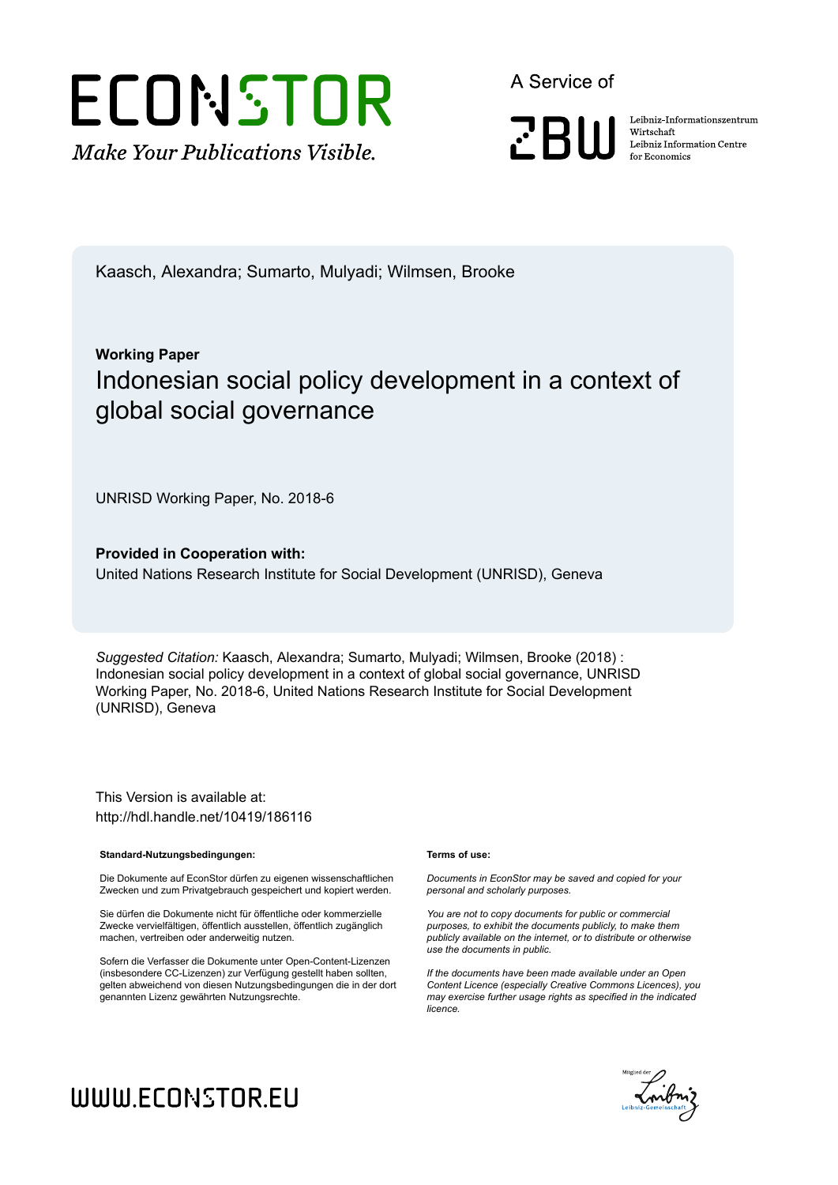

A Service of

**PRIII** 

Leibniz Informationszentrum Wirtschaft Leibniz Information Centre for Economics

Kaasch, Alexandra; Sumarto, Mulyadi; Wilmsen, Brooke

# **Working Paper** Indonesian social policy development in a context of global social governance

UNRISD Working Paper, No. 2018-6

**Provided in Cooperation with:** United Nations Research Institute for Social Development (UNRISD), Geneva

*Suggested Citation:* Kaasch, Alexandra; Sumarto, Mulyadi; Wilmsen, Brooke (2018) : Indonesian social policy development in a context of global social governance, UNRISD Working Paper, No. 2018-6, United Nations Research Institute for Social Development (UNRISD), Geneva

This Version is available at: http://hdl.handle.net/10419/186116

#### **Standard-Nutzungsbedingungen:**

Die Dokumente auf EconStor dürfen zu eigenen wissenschaftlichen Zwecken und zum Privatgebrauch gespeichert und kopiert werden.

Sie dürfen die Dokumente nicht für öffentliche oder kommerzielle Zwecke vervielfältigen, öffentlich ausstellen, öffentlich zugänglich machen, vertreiben oder anderweitig nutzen.

Sofern die Verfasser die Dokumente unter Open-Content-Lizenzen (insbesondere CC-Lizenzen) zur Verfügung gestellt haben sollten, gelten abweichend von diesen Nutzungsbedingungen die in der dort genannten Lizenz gewährten Nutzungsrechte.

#### **Terms of use:**

*Documents in EconStor may be saved and copied for your personal and scholarly purposes.*

*You are not to copy documents for public or commercial purposes, to exhibit the documents publicly, to make them publicly available on the internet, or to distribute or otherwise use the documents in public.*

*If the documents have been made available under an Open Content Licence (especially Creative Commons Licences), you may exercise further usage rights as specified in the indicated licence.*



# WWW.ECONSTOR.EU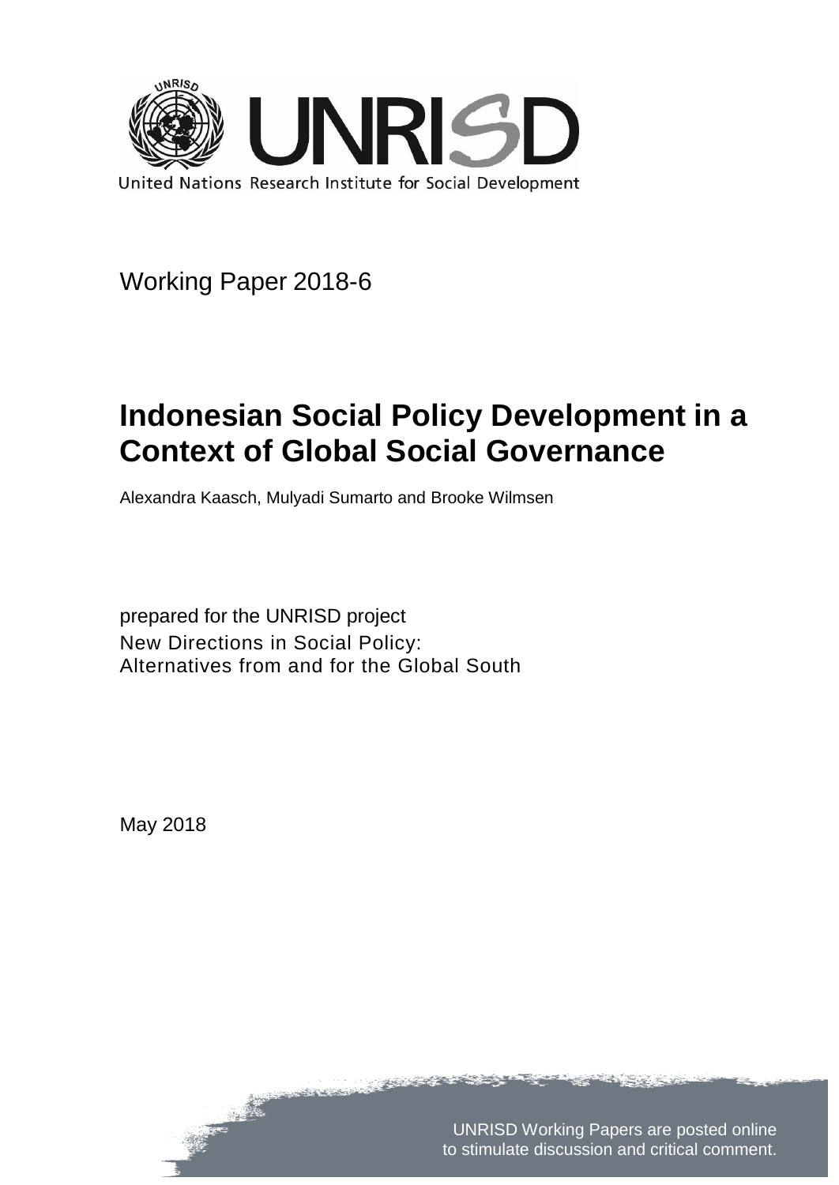

Working Paper 2018-6

# **Indonesian Social Policy Development in a Context of Global Social Governance**

Alexandra Kaasch, Mulyadi Sumarto and Brooke Wilmsen

prepared for the UNRISD project New Directions in Social Policy: Alternatives from and for the Global South

May 2018

UNRISD Working Papers are posted online to stimulate discussion and critical comment.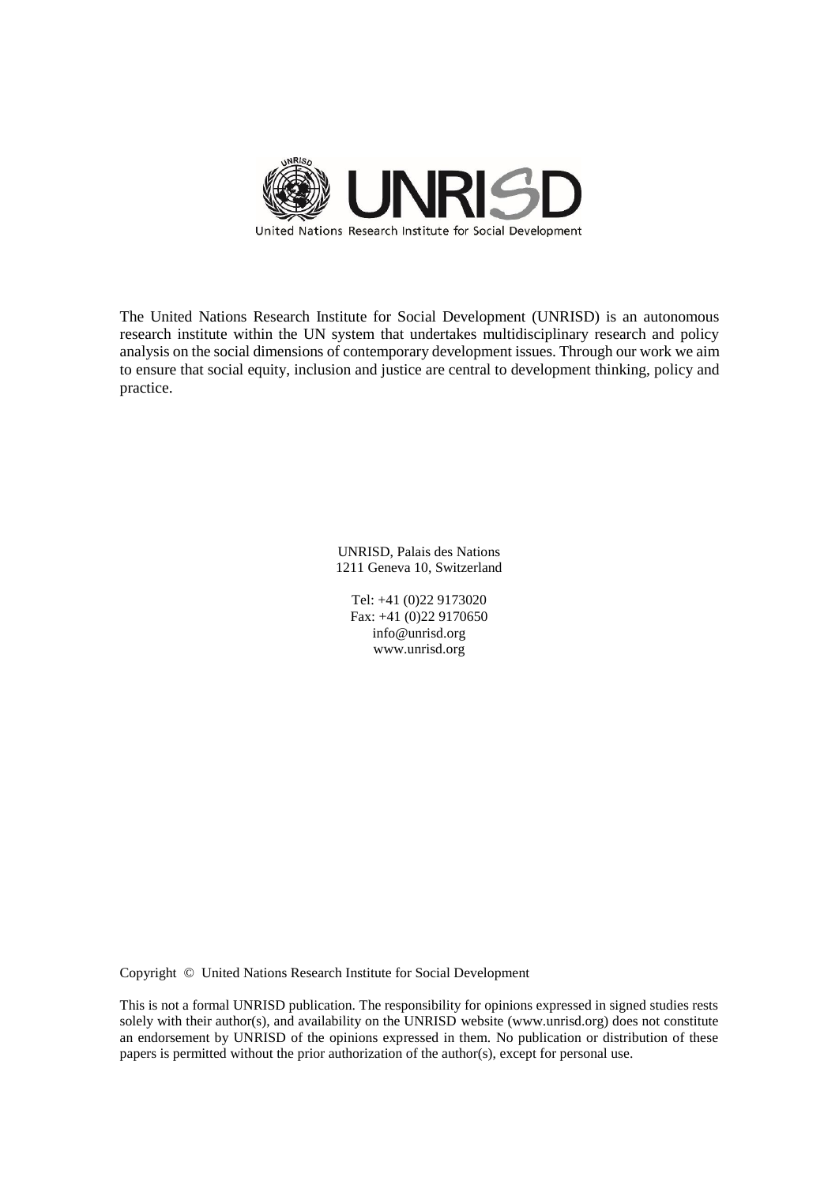

The United Nations Research Institute for Social Development (UNRISD) is an autonomous research institute within the UN system that undertakes multidisciplinary research and policy analysis on the social dimensions of contemporary development issues. Through our work we aim to ensure that social equity, inclusion and justice are central to development thinking, policy and practice.

> UNRISD, Palais des Nations 1211 Geneva 10, Switzerland

Tel: +41 (0)22 9173020 Fax: +41 (0)22 9170650 info@unrisd.org www.unrisd.org

Copyright © United Nations Research Institute for Social Development

This is not a formal UNRISD publication. The responsibility for opinions expressed in signed studies rests solely with their author(s), and availability on the UNRISD website (www.unrisd.org) does not constitute an endorsement by UNRISD of the opinions expressed in them. No publication or distribution of these papers is permitted without the prior authorization of the author(s), except for personal use.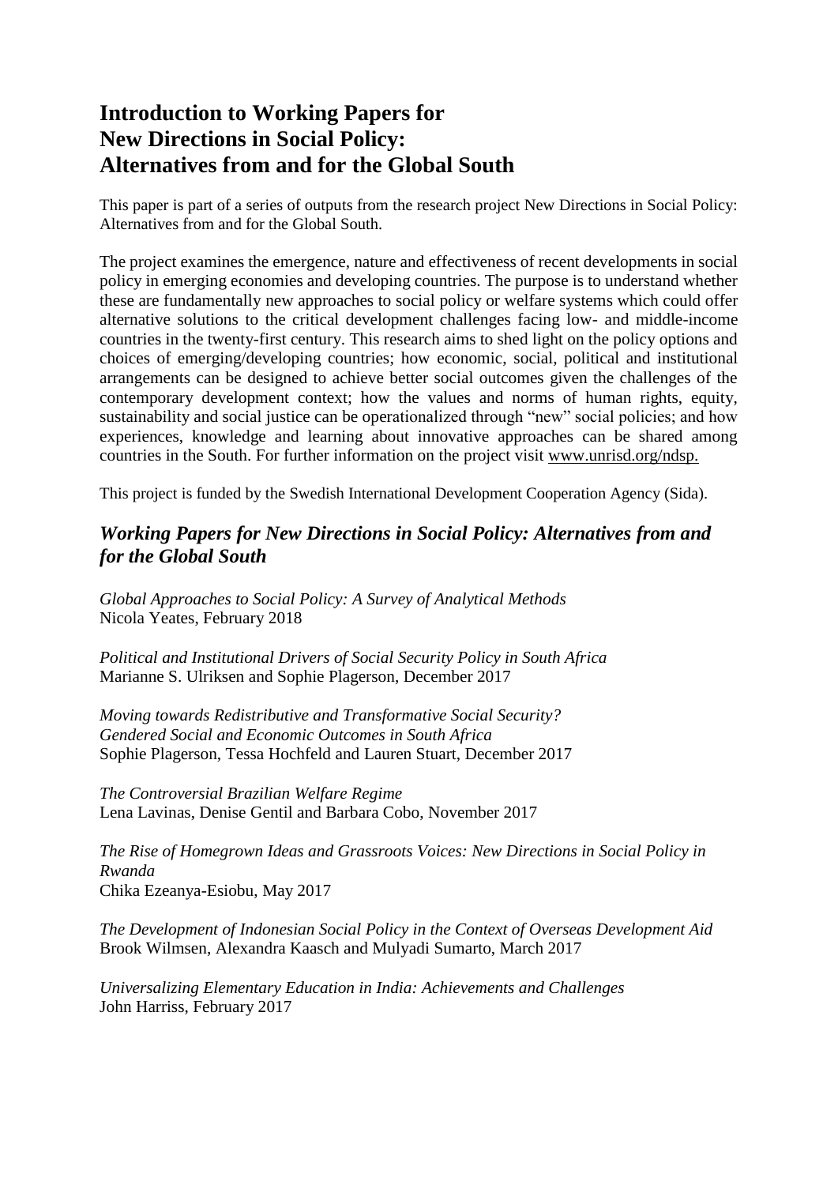### **Introduction to Working Papers for New Directions in Social Policy: Alternatives from and for the Global South**

This paper is part of a series of outputs from the research project New Directions in Social Policy: Alternatives from and for the Global South.

The project examines the emergence, nature and effectiveness of recent developments in social policy in emerging economies and developing countries. The purpose is to understand whether these are fundamentally new approaches to social policy or welfare systems which could offer alternative solutions to the critical development challenges facing low- and middle-income countries in the twenty-first century. This research aims to shed light on the policy options and choices of emerging/developing countries; how economic, social, political and institutional arrangements can be designed to achieve better social outcomes given the challenges of the contemporary development context; how the values and norms of human rights, equity, sustainability and social justice can be operationalized through "new" social policies; and how experiences, knowledge and learning about innovative approaches can be shared among countries in the South. For further information on the project visit www.unrisd.org/ndsp.

This project is funded by the Swedish International Development Cooperation Agency (Sida).

#### *Working Papers for New Directions in Social Policy: Alternatives from and for the Global South*

*Global Approaches to Social Policy: A Survey of Analytical Methods* Nicola Yeates, February 2018

*Political and Institutional Drivers of Social Security Policy in South Africa* Marianne S. Ulriksen and Sophie Plagerson, December 2017

*Moving towards Redistributive and Transformative Social Security? Gendered Social and Economic Outcomes in South Africa* Sophie Plagerson, Tessa Hochfeld and Lauren Stuart, December 2017

*The Controversial Brazilian Welfare Regime* Lena Lavinas, Denise Gentil and Barbara Cobo, November 2017

*The Rise of Homegrown Ideas and Grassroots Voices: New Directions in Social Policy in Rwanda* Chika Ezeanya-Esiobu, May 2017

*The Development of Indonesian Social Policy in the Context of Overseas Development Aid* Brook Wilmsen, Alexandra Kaasch and Mulyadi Sumarto, March 2017

*Universalizing Elementary Education in India: Achievements and Challenges* John Harriss, February 2017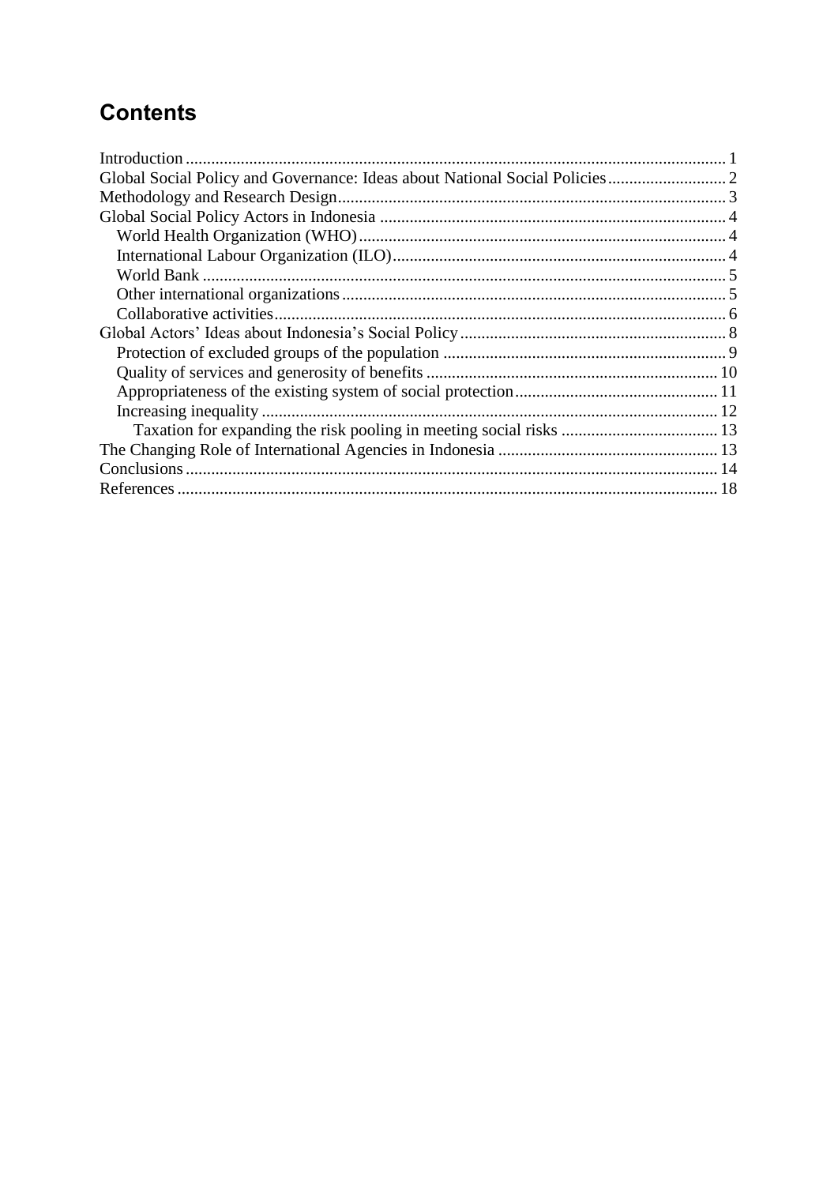# **Contents**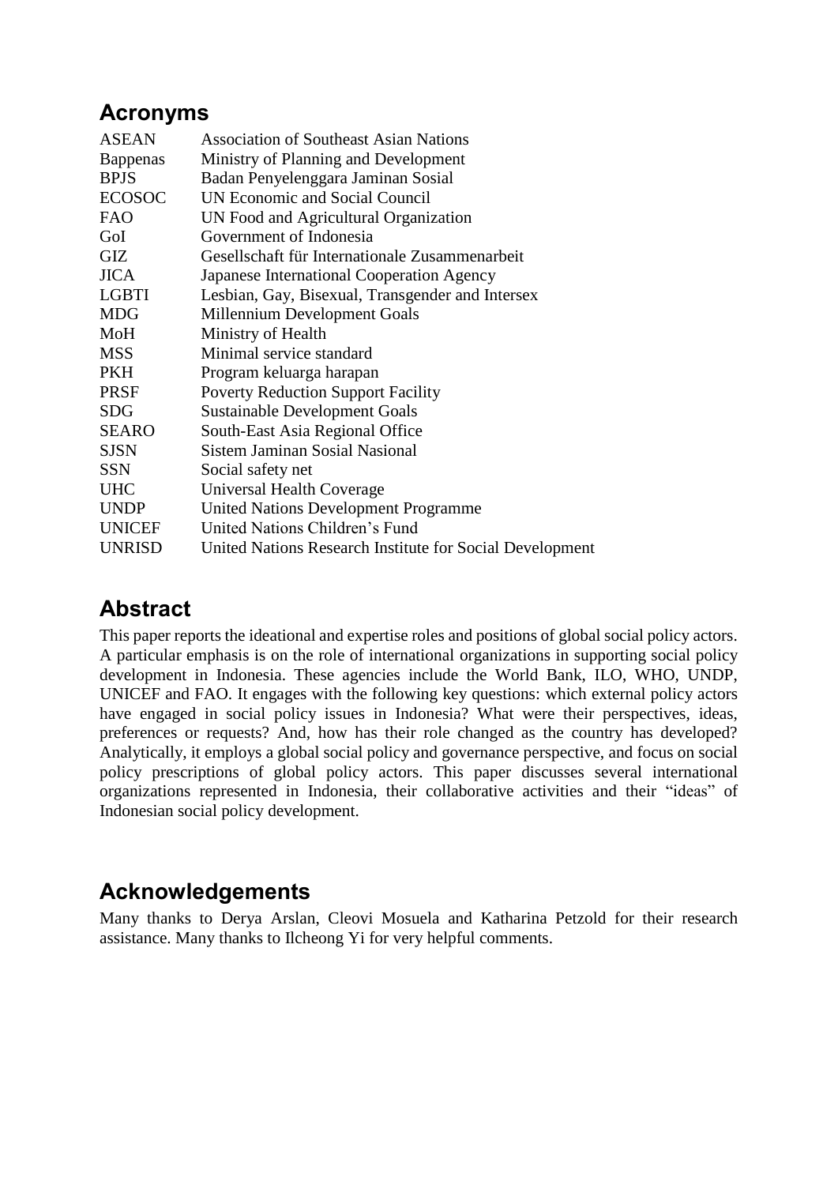# **Acronyms**

| <b>ASEAN</b>    | <b>Association of Southeast Asian Nations</b>            |
|-----------------|----------------------------------------------------------|
| <b>Bappenas</b> | Ministry of Planning and Development                     |
| <b>BPJS</b>     | Badan Penyelenggara Jaminan Sosial                       |
| <b>ECOSOC</b>   | UN Economic and Social Council                           |
| <b>FAO</b>      | UN Food and Agricultural Organization                    |
| GoI             | Government of Indonesia                                  |
| GIZ             | Gesellschaft für Internationale Zusammenarbeit           |
| <b>JICA</b>     | Japanese International Cooperation Agency                |
| LGBTI           | Lesbian, Gay, Bisexual, Transgender and Intersex         |
| <b>MDG</b>      | Millennium Development Goals                             |
| MoH             | Ministry of Health                                       |
| <b>MSS</b>      | Minimal service standard                                 |
| <b>PKH</b>      | Program keluarga harapan                                 |
| <b>PRSF</b>     | <b>Poverty Reduction Support Facility</b>                |
| <b>SDG</b>      | <b>Sustainable Development Goals</b>                     |
| <b>SEARO</b>    | South-East Asia Regional Office                          |
| <b>SJSN</b>     | <b>Sistem Jaminan Sosial Nasional</b>                    |
| <b>SSN</b>      | Social safety net                                        |
| <b>UHC</b>      | Universal Health Coverage                                |
| <b>UNDP</b>     | <b>United Nations Development Programme</b>              |
| <b>UNICEF</b>   | United Nations Children's Fund                           |
| <b>UNRISD</b>   | United Nations Research Institute for Social Development |

# **Abstract**

This paper reports the ideational and expertise roles and positions of global social policy actors. A particular emphasis is on the role of international organizations in supporting social policy development in Indonesia. These agencies include the World Bank, ILO, WHO, UNDP, UNICEF and FAO. It engages with the following key questions: which external policy actors have engaged in social policy issues in Indonesia? What were their perspectives, ideas, preferences or requests? And, how has their role changed as the country has developed? Analytically, it employs a global social policy and governance perspective, and focus on social policy prescriptions of global policy actors. This paper discusses several international organizations represented in Indonesia, their collaborative activities and their "ideas" of Indonesian social policy development.

# **Acknowledgements**

Many thanks to Derya Arslan, Cleovi Mosuela and Katharina Petzold for their research assistance. Many thanks to Ilcheong Yi for very helpful comments.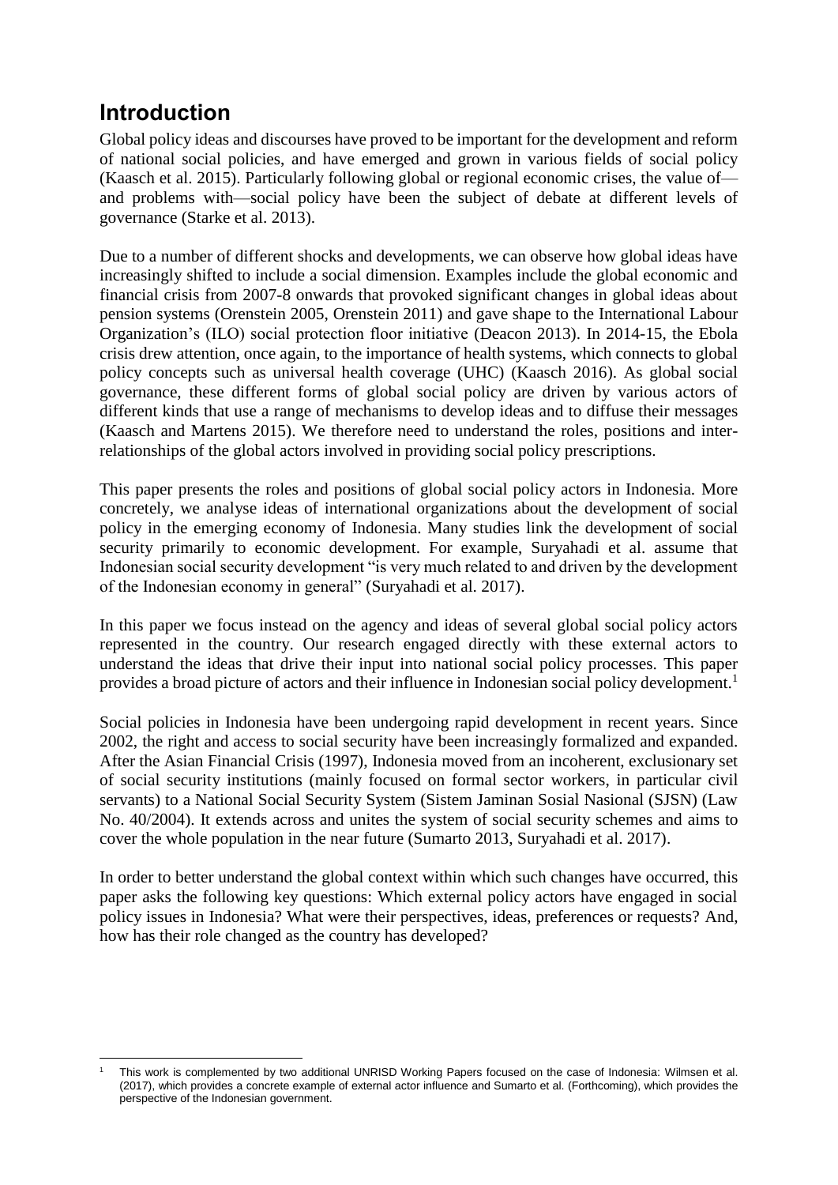# <span id="page-6-0"></span>**Introduction**

Global policy ideas and discourses have proved to be important for the development and reform of national social policies, and have emerged and grown in various fields of social policy (Kaasch et al. 2015). Particularly following global or regional economic crises, the value of and problems with—social policy have been the subject of debate at different levels of governance (Starke et al. 2013).

Due to a number of different shocks and developments, we can observe how global ideas have increasingly shifted to include a social dimension. Examples include the global economic and financial crisis from 2007-8 onwards that provoked significant changes in global ideas about pension systems (Orenstein 2005, Orenstein 2011) and gave shape to the International Labour Organization's (ILO) social protection floor initiative (Deacon 2013). In 2014-15, the Ebola crisis drew attention, once again, to the importance of health systems, which connects to global policy concepts such as universal health coverage (UHC) (Kaasch 2016). As global social governance, these different forms of global social policy are driven by various actors of different kinds that use a range of mechanisms to develop ideas and to diffuse their messages (Kaasch and Martens 2015). We therefore need to understand the roles, positions and interrelationships of the global actors involved in providing social policy prescriptions.

This paper presents the roles and positions of global social policy actors in Indonesia. More concretely, we analyse ideas of international organizations about the development of social policy in the emerging economy of Indonesia. Many studies link the development of social security primarily to economic development. For example, Suryahadi et al. assume that Indonesian social security development "is very much related to and driven by the development of the Indonesian economy in general" (Suryahadi et al. 2017).

In this paper we focus instead on the agency and ideas of several global social policy actors represented in the country. Our research engaged directly with these external actors to understand the ideas that drive their input into national social policy processes. This paper provides a broad picture of actors and their influence in Indonesian social policy development.<sup>1</sup>

Social policies in Indonesia have been undergoing rapid development in recent years. Since 2002, the right and access to social security have been increasingly formalized and expanded. After the Asian Financial Crisis (1997), Indonesia moved from an incoherent, exclusionary set of social security institutions (mainly focused on formal sector workers, in particular civil servants) to a National Social Security System (Sistem Jaminan Sosial Nasional (SJSN) (Law No. 40/2004). It extends across and unites the system of social security schemes and aims to cover the whole population in the near future (Sumarto 2013, Suryahadi et al. 2017).

In order to better understand the global context within which such changes have occurred, this paper asks the following key questions: Which external policy actors have engaged in social policy issues in Indonesia? What were their perspectives, ideas, preferences or requests? And, how has their role changed as the country has developed?

<sup>1</sup> <sup>1</sup> This work is complemented by two additional UNRISD Working Papers focused on the case of Indonesia: Wilmsen et al. (2017), which provides a concrete example of external actor influence and Sumarto et al. (Forthcoming), which provides the perspective of the Indonesian government.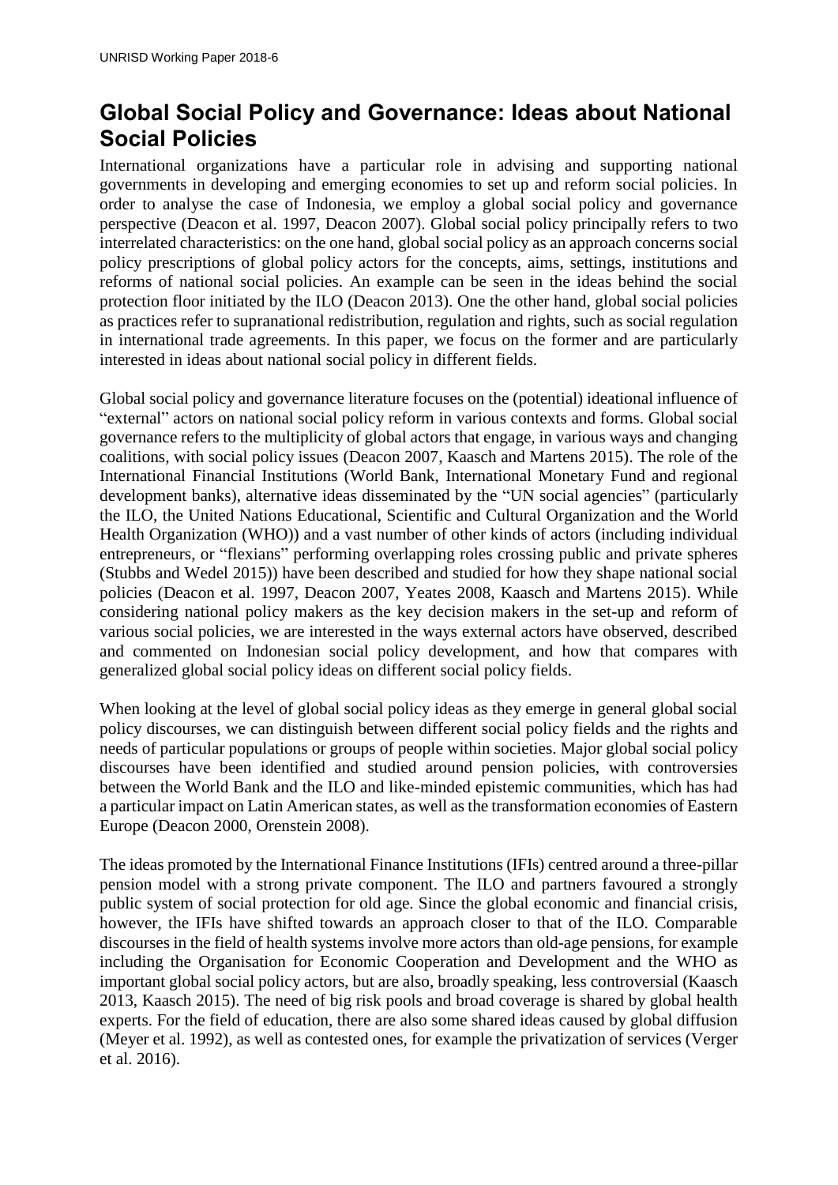# <span id="page-7-0"></span>**Global Social Policy and Governance: Ideas about National Social Policies**

International organizations have a particular role in advising and supporting national governments in developing and emerging economies to set up and reform social policies. In order to analyse the case of Indonesia, we employ a global social policy and governance perspective (Deacon et al. 1997, Deacon 2007). Global social policy principally refers to two interrelated characteristics: on the one hand, global social policy as an approach concerns social policy prescriptions of global policy actors for the concepts, aims, settings, institutions and reforms of national social policies. An example can be seen in the ideas behind the social protection floor initiated by the ILO (Deacon 2013). One the other hand, global social policies as practices refer to supranational redistribution, regulation and rights, such as social regulation in international trade agreements. In this paper, we focus on the former and are particularly interested in ideas about national social policy in different fields.

Global social policy and governance literature focuses on the (potential) ideational influence of "external" actors on national social policy reform in various contexts and forms. Global social governance refers to the multiplicity of global actors that engage, in various ways and changing coalitions, with social policy issues (Deacon 2007, Kaasch and Martens 2015). The role of the International Financial Institutions (World Bank, International Monetary Fund and regional development banks), alternative ideas disseminated by the "UN social agencies" (particularly the ILO, the United Nations Educational, Scientific and Cultural Organization and the World Health Organization (WHO)) and a vast number of other kinds of actors (including individual entrepreneurs, or "flexians" performing overlapping roles crossing public and private spheres (Stubbs and Wedel 2015)) have been described and studied for how they shape national social policies (Deacon et al. 1997, Deacon 2007, Yeates 2008, Kaasch and Martens 2015). While considering national policy makers as the key decision makers in the set-up and reform of various social policies, we are interested in the ways external actors have observed, described and commented on Indonesian social policy development, and how that compares with generalized global social policy ideas on different social policy fields.

When looking at the level of global social policy ideas as they emerge in general global social policy discourses, we can distinguish between different social policy fields and the rights and needs of particular populations or groups of people within societies. Major global social policy discourses have been identified and studied around pension policies, with controversies between the World Bank and the ILO and like-minded epistemic communities, which has had a particular impact on Latin American states, as well as the transformation economies of Eastern Europe (Deacon 2000, Orenstein 2008).

The ideas promoted by the International Finance Institutions (IFIs) centred around a three-pillar pension model with a strong private component. The ILO and partners favoured a strongly public system of social protection for old age. Since the global economic and financial crisis, however, the IFIs have shifted towards an approach closer to that of the ILO. Comparable discourses in the field of health systems involve more actors than old-age pensions, for example including the Organisation for Economic Cooperation and Development and the WHO as important global social policy actors, but are also, broadly speaking, less controversial (Kaasch 2013, Kaasch 2015). The need of big risk pools and broad coverage is shared by global health experts. For the field of education, there are also some shared ideas caused by global diffusion (Meyer et al. 1992), as well as contested ones, for example the privatization of services (Verger et al. 2016).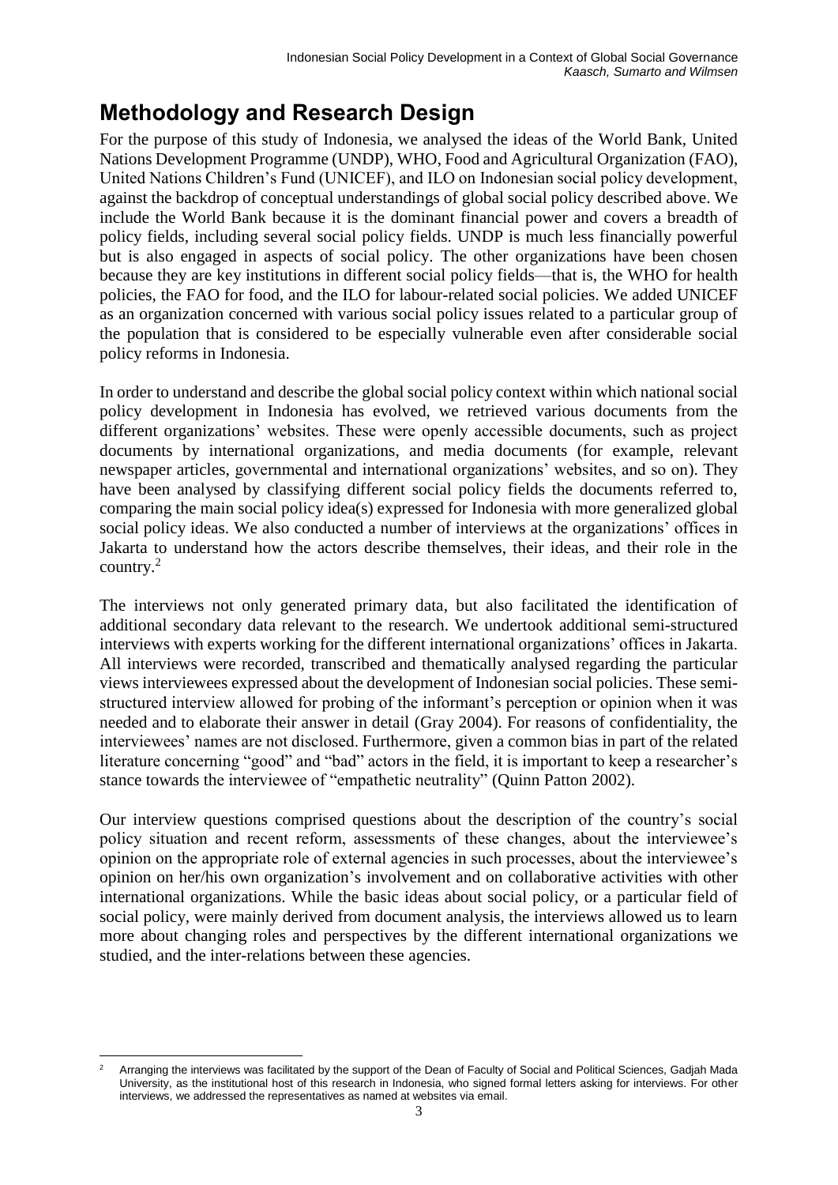# <span id="page-8-0"></span>**Methodology and Research Design**

For the purpose of this study of Indonesia, we analysed the ideas of the World Bank, United Nations Development Programme (UNDP), WHO, Food and Agricultural Organization (FAO), United Nations Children's Fund (UNICEF), and ILO on Indonesian social policy development, against the backdrop of conceptual understandings of global social policy described above. We include the World Bank because it is the dominant financial power and covers a breadth of policy fields, including several social policy fields. UNDP is much less financially powerful but is also engaged in aspects of social policy. The other organizations have been chosen because they are key institutions in different social policy fields—that is, the WHO for health policies, the FAO for food, and the ILO for labour-related social policies. We added UNICEF as an organization concerned with various social policy issues related to a particular group of the population that is considered to be especially vulnerable even after considerable social policy reforms in Indonesia.

In order to understand and describe the global social policy context within which national social policy development in Indonesia has evolved, we retrieved various documents from the different organizations' websites. These were openly accessible documents, such as project documents by international organizations, and media documents (for example, relevant newspaper articles, governmental and international organizations' websites, and so on). They have been analysed by classifying different social policy fields the documents referred to, comparing the main social policy idea(s) expressed for Indonesia with more generalized global social policy ideas. We also conducted a number of interviews at the organizations' offices in Jakarta to understand how the actors describe themselves, their ideas, and their role in the country.<sup>2</sup>

The interviews not only generated primary data, but also facilitated the identification of additional secondary data relevant to the research. We undertook additional semi-structured interviews with experts working for the different international organizations' offices in Jakarta. All interviews were recorded, transcribed and thematically analysed regarding the particular views interviewees expressed about the development of Indonesian social policies. These semistructured interview allowed for probing of the informant's perception or opinion when it was needed and to elaborate their answer in detail (Gray 2004). For reasons of confidentiality, the interviewees' names are not disclosed. Furthermore, given a common bias in part of the related literature concerning "good" and "bad" actors in the field, it is important to keep a researcher's stance towards the interviewee of "empathetic neutrality" (Quinn Patton 2002).

Our interview questions comprised questions about the description of the country's social policy situation and recent reform, assessments of these changes, about the interviewee's opinion on the appropriate role of external agencies in such processes, about the interviewee's opinion on her/his own organization's involvement and on collaborative activities with other international organizations. While the basic ideas about social policy, or a particular field of social policy, were mainly derived from document analysis, the interviews allowed us to learn more about changing roles and perspectives by the different international organizations we studied, and the inter-relations between these agencies.

<sup>1</sup> <sup>2</sup> Arranging the interviews was facilitated by the support of the Dean of Faculty of Social and Political Sciences, Gadjah Mada University, as the institutional host of this research in Indonesia, who signed formal letters asking for interviews. For other interviews, we addressed the representatives as named at websites via email.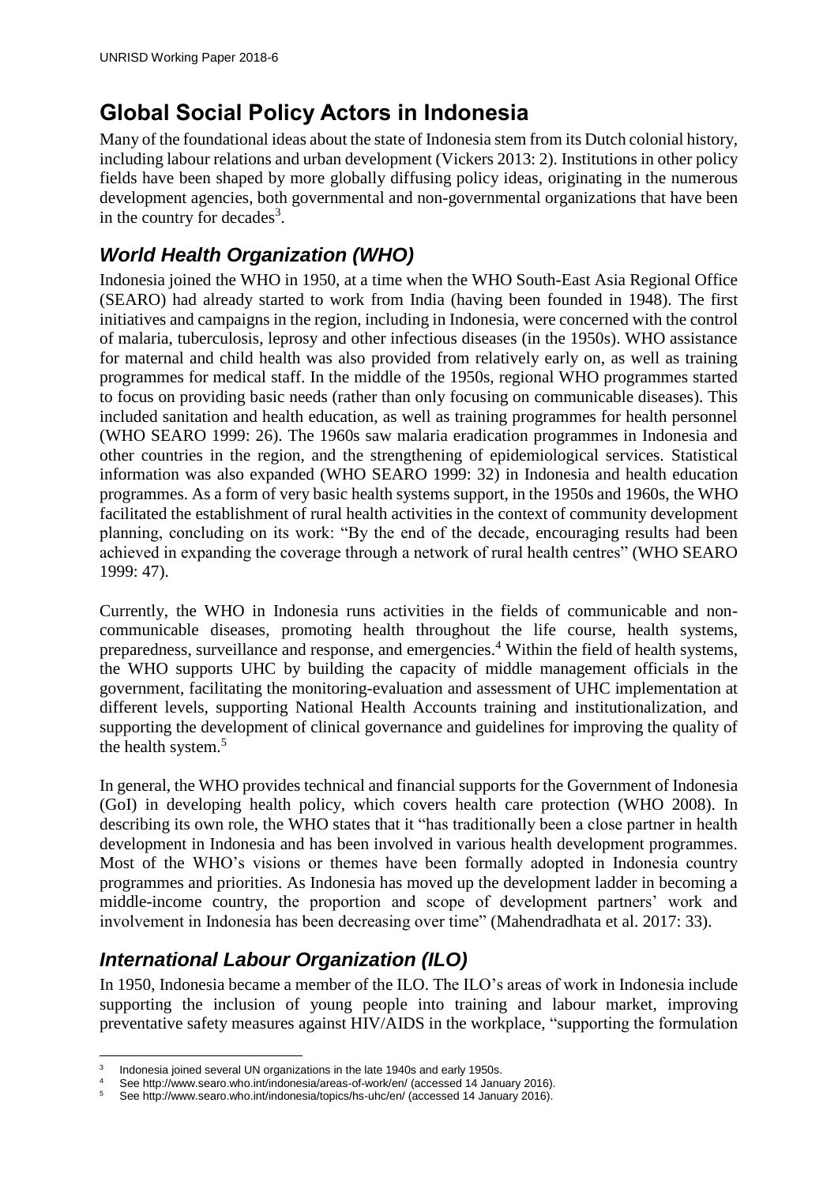# <span id="page-9-0"></span>**Global Social Policy Actors in Indonesia**

Many of the foundational ideas about the state of Indonesia stem from its Dutch colonial history, including labour relations and urban development (Vickers 2013: 2). Institutions in other policy fields have been shaped by more globally diffusing policy ideas, originating in the numerous development agencies, both governmental and non-governmental organizations that have been in the country for decades<sup>3</sup>.

#### <span id="page-9-1"></span>*World Health Organization (WHO)*

Indonesia joined the WHO in 1950, at a time when the WHO South-East Asia Regional Office (SEARO) had already started to work from India (having been founded in 1948). The first initiatives and campaigns in the region, including in Indonesia, were concerned with the control of malaria, tuberculosis, leprosy and other infectious diseases (in the 1950s). WHO assistance for maternal and child health was also provided from relatively early on, as well as training programmes for medical staff. In the middle of the 1950s, regional WHO programmes started to focus on providing basic needs (rather than only focusing on communicable diseases). This included sanitation and health education, as well as training programmes for health personnel (WHO SEARO 1999: 26). The 1960s saw malaria eradication programmes in Indonesia and other countries in the region, and the strengthening of epidemiological services. Statistical information was also expanded (WHO SEARO 1999: 32) in Indonesia and health education programmes. As a form of very basic health systems support, in the 1950s and 1960s, the WHO facilitated the establishment of rural health activities in the context of community development planning, concluding on its work: "By the end of the decade, encouraging results had been achieved in expanding the coverage through a network of rural health centres" (WHO SEARO 1999: 47).

Currently, the WHO in Indonesia runs activities in the fields of communicable and noncommunicable diseases, promoting health throughout the life course, health systems, preparedness, surveillance and response, and emergencies.<sup>4</sup> Within the field of health systems, the WHO supports UHC by building the capacity of middle management officials in the government, facilitating the monitoring-evaluation and assessment of UHC implementation at different levels, supporting National Health Accounts training and institutionalization, and supporting the development of clinical governance and guidelines for improving the quality of the health system.<sup>5</sup>

In general, the WHO provides technical and financial supports for the Government of Indonesia (GoI) in developing health policy, which covers health care protection (WHO 2008). In describing its own role, the WHO states that it "has traditionally been a close partner in health development in Indonesia and has been involved in various health development programmes. Most of the WHO's visions or themes have been formally adopted in Indonesia country programmes and priorities. As Indonesia has moved up the development ladder in becoming a middle-income country, the proportion and scope of development partners' work and involvement in Indonesia has been decreasing over time" (Mahendradhata et al. 2017: 33).

#### <span id="page-9-2"></span>*International Labour Organization (ILO)*

In 1950, Indonesia became a member of the ILO. The ILO's areas of work in Indonesia include supporting the inclusion of young people into training and labour market, improving preventative safety measures against HIV/AIDS in the workplace, "supporting the formulation

<sup>1</sup> 3 Indonesia joined several UN organizations in the late 1940s and early 1950s.

<sup>4</sup> See http://www.searo.who.int/indonesia/areas-of-work/en/ (accessed 14 January 2016).<br>5 See http://www.searo.who.int/indonesia/topics/bs-ubc/en/ (accessed 14 January 2016).

<sup>5</sup> See http://www.searo.who.int/indonesia/topics/hs-uhc/en/ (accessed 14 January 2016).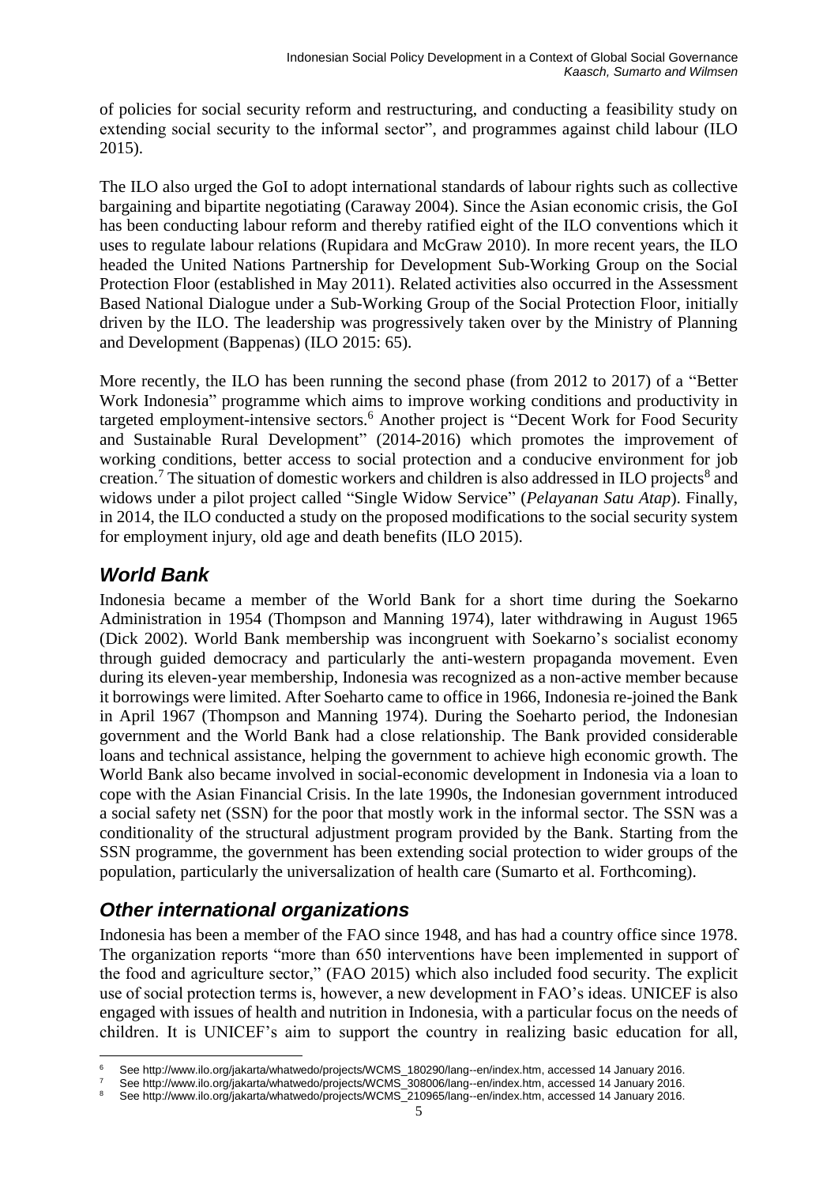of policies for social security reform and restructuring, and conducting a feasibility study on extending social security to the informal sector", and programmes against child labour (ILO 2015).

The ILO also urged the GoI to adopt international standards of labour rights such as collective bargaining and bipartite negotiating (Caraway 2004). Since the Asian economic crisis, the GoI has been conducting labour reform and thereby ratified eight of the ILO conventions which it uses to regulate labour relations (Rupidara and McGraw 2010). In more recent years, the ILO headed the United Nations Partnership for Development Sub-Working Group on the Social Protection Floor (established in May 2011). Related activities also occurred in the Assessment Based National Dialogue under a Sub-Working Group of the Social Protection Floor, initially driven by the ILO. The leadership was progressively taken over by the Ministry of Planning and Development (Bappenas) (ILO 2015: 65).

More recently, the ILO has been running the second phase (from 2012 to 2017) of a "Better Work Indonesia" programme which aims to improve working conditions and productivity in targeted employment-intensive sectors.<sup>6</sup> Another project is "Decent Work for Food Security and Sustainable Rural Development" (2014-2016) which promotes the improvement of working conditions, better access to social protection and a conducive environment for job creation.<sup>7</sup> The situation of domestic workers and children is also addressed in ILO projects<sup>8</sup> and widows under a pilot project called "Single Widow Service" (*Pelayanan Satu Atap*). Finally, in 2014, the ILO conducted a study on the proposed modifications to the social security system for employment injury, old age and death benefits (ILO 2015).

#### <span id="page-10-0"></span>*World Bank*

Indonesia became a member of the World Bank for a short time during the Soekarno Administration in 1954 (Thompson and Manning 1974), later withdrawing in August 1965 (Dick 2002). World Bank membership was incongruent with Soekarno's socialist economy through guided democracy and particularly the anti-western propaganda movement. Even during its eleven-year membership, Indonesia was recognized as a non-active member because it borrowings were limited. After Soeharto came to office in 1966, Indonesia re-joined the Bank in April 1967 (Thompson and Manning 1974). During the Soeharto period, the Indonesian government and the World Bank had a close relationship. The Bank provided considerable loans and technical assistance, helping the government to achieve high economic growth. The World Bank also became involved in social-economic development in Indonesia via a loan to cope with the Asian Financial Crisis. In the late 1990s, the Indonesian government introduced a social safety net (SSN) for the poor that mostly work in the informal sector. The SSN was a conditionality of the structural adjustment program provided by the Bank. Starting from the SSN programme, the government has been extending social protection to wider groups of the population, particularly the universalization of health care (Sumarto et al. Forthcoming).

#### <span id="page-10-1"></span>*Other international organizations*

Indonesia has been a member of the FAO since 1948, and has had a country office since 1978. The organization reports "more than 650 interventions have been implemented in support of the food and agriculture sector," (FAO 2015) which also included food security. The explicit use of social protection terms is, however, a new development in FAO's ideas. UNICEF is also engaged with issues of health and nutrition in Indonesia, with a particular focus on the needs of children. It is UNICEF's aim to support the country in realizing basic education for all,

<sup>1</sup> <sup>6</sup> See http://www.ilo.org/jakarta/whatwedo/projects/WCMS\_180290/lang--en/index.htm, accessed 14 January 2016.

See http://www.ilo.org/jakarta/whatwedo/projects/WCMS\_308006/lang--en/index.htm, accessed 14 January 2016.

<sup>8</sup> See http://www.ilo.org/jakarta/whatwedo/projects/WCMS\_210965/lang--en/index.htm, accessed 14 January 2016.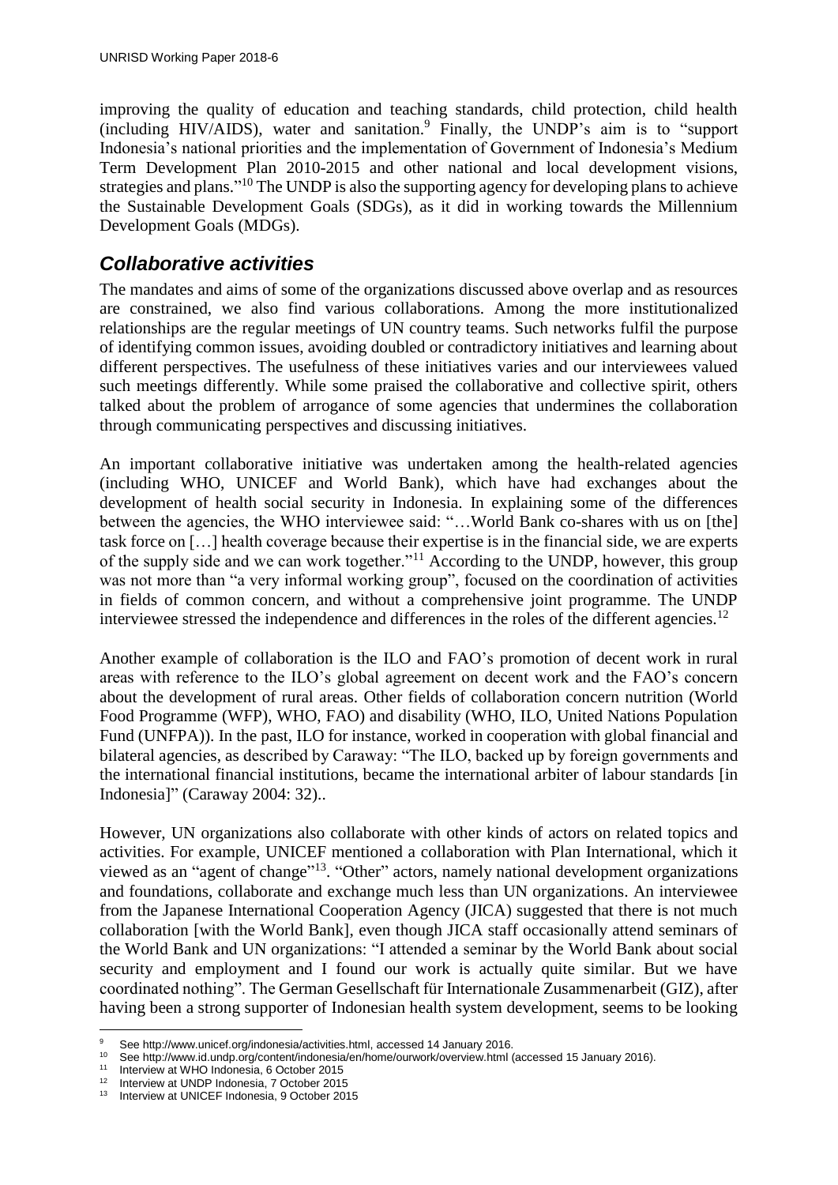improving the quality of education and teaching standards, child protection, child health  $(including HIV/ALDS)$ , water and sanitation.<sup>9</sup> Finally, the UNDP's aim is to "support" Indonesia's national priorities and the implementation of Government of Indonesia's Medium Term Development Plan 2010-2015 and other national and local development visions, strategies and plans."<sup>10</sup> The UNDP is also the supporting agency for developing plans to achieve the Sustainable Development Goals (SDGs), as it did in working towards the Millennium Development Goals (MDGs).

#### <span id="page-11-0"></span>*Collaborative activities*

The mandates and aims of some of the organizations discussed above overlap and as resources are constrained, we also find various collaborations. Among the more institutionalized relationships are the regular meetings of UN country teams. Such networks fulfil the purpose of identifying common issues, avoiding doubled or contradictory initiatives and learning about different perspectives. The usefulness of these initiatives varies and our interviewees valued such meetings differently. While some praised the collaborative and collective spirit, others talked about the problem of arrogance of some agencies that undermines the collaboration through communicating perspectives and discussing initiatives.

An important collaborative initiative was undertaken among the health-related agencies (including WHO, UNICEF and World Bank), which have had exchanges about the development of health social security in Indonesia. In explaining some of the differences between the agencies, the WHO interviewee said: "...World Bank co-shares with us on [the] task force on […] health coverage because their expertise is in the financial side, we are experts of the supply side and we can work together."<sup>11</sup> According to the UNDP, however, this group was not more than "a very informal working group", focused on the coordination of activities in fields of common concern, and without a comprehensive joint programme. The UNDP interviewee stressed the independence and differences in the roles of the different agencies.<sup>12</sup>

Another example of collaboration is the ILO and FAO's promotion of decent work in rural areas with reference to the ILO's global agreement on decent work and the FAO's concern about the development of rural areas. Other fields of collaboration concern nutrition (World Food Programme (WFP), WHO, FAO) and disability (WHO, ILO, United Nations Population Fund (UNFPA)). In the past, ILO for instance, worked in cooperation with global financial and bilateral agencies, as described by Caraway: "The ILO, backed up by foreign governments and the international financial institutions, became the international arbiter of labour standards [in Indonesia]" (Caraway 2004: 32)..

However, UN organizations also collaborate with other kinds of actors on related topics and activities. For example, UNICEF mentioned a collaboration with Plan International, which it viewed as an "agent of change"<sup>13</sup>. "Other" actors, namely national development organizations and foundations, collaborate and exchange much less than UN organizations. An interviewee from the Japanese International Cooperation Agency (JICA) suggested that there is not much collaboration [with the World Bank], even though JICA staff occasionally attend seminars of the World Bank and UN organizations: "I attended a seminar by the World Bank about social security and employment and I found our work is actually quite similar. But we have coordinated nothing". The German Gesellschaft für Internationale Zusammenarbeit (GIZ), after having been a strong supporter of Indonesian health system development, seems to be looking

<sup>&</sup>lt;u>.</u> 9 See http://www.unicef.org/indonesia/activities.html, accessed 14 January 2016.<br>10 See http://www.id.undp.org/content/indonesia/on/homo/ourwork/overview.html

<sup>&</sup>lt;sup>10</sup> See http://www.id.undp.org/content/indonesia/en/home/ourwork/overview.html (accessed 15 January 2016).

<sup>11</sup> Interview at WHO Indonesia, 6 October 2015

<sup>&</sup>lt;sup>12</sup> Interview at UNDP Indonesia, 7 October 2015<br><sup>13</sup> Interview at UNICEE Indonesia, 8 October 201

Interview at UNICEF Indonesia, 9 October 2015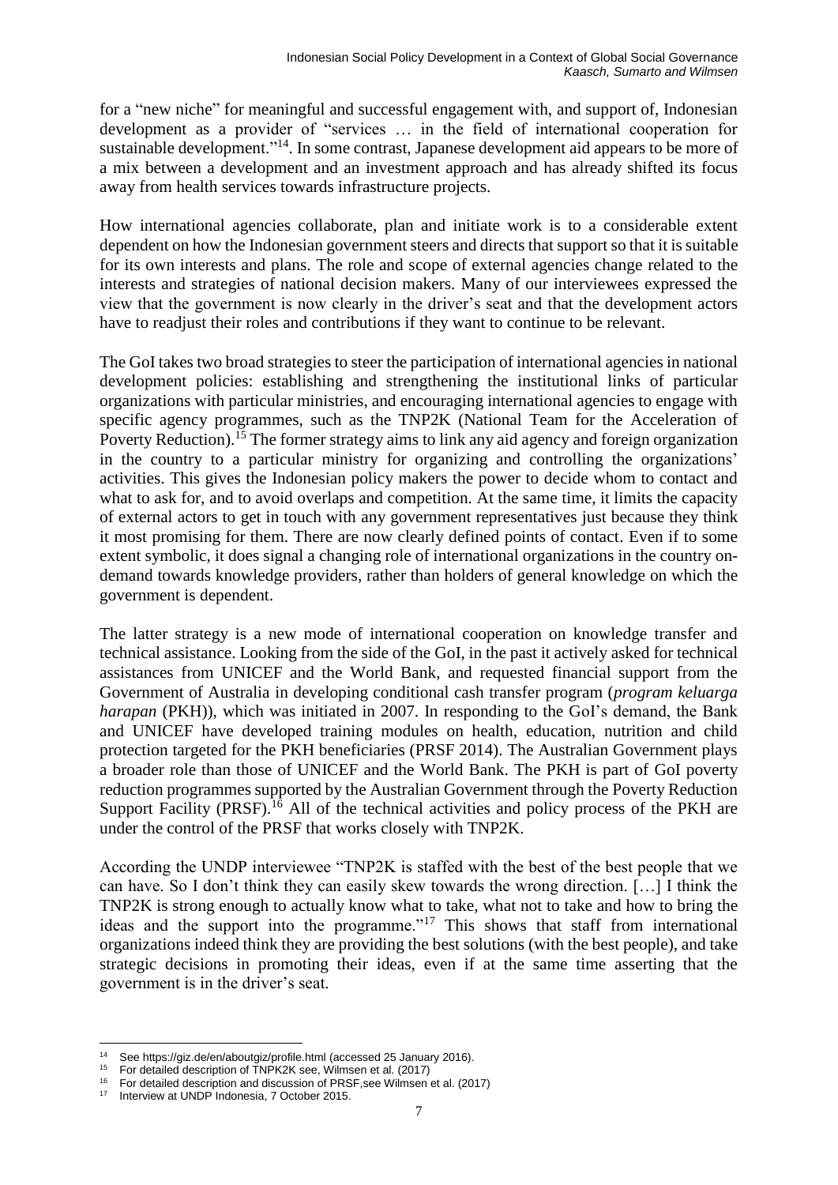for a "new niche" for meaningful and successful engagement with, and support of, Indonesian development as a provider of "services … in the field of international cooperation for sustainable development."<sup>14</sup>. In some contrast, Japanese development aid appears to be more of a mix between a development and an investment approach and has already shifted its focus away from health services towards infrastructure projects.

How international agencies collaborate, plan and initiate work is to a considerable extent dependent on how the Indonesian government steers and directs that support so that it is suitable for its own interests and plans. The role and scope of external agencies change related to the interests and strategies of national decision makers. Many of our interviewees expressed the view that the government is now clearly in the driver's seat and that the development actors have to readjust their roles and contributions if they want to continue to be relevant.

The GoI takes two broad strategies to steer the participation of international agencies in national development policies: establishing and strengthening the institutional links of particular organizations with particular ministries, and encouraging international agencies to engage with specific agency programmes, such as the TNP2K (National Team for the Acceleration of Poverty Reduction).<sup>15</sup> The former strategy aims to link any aid agency and foreign organization in the country to a particular ministry for organizing and controlling the organizations' activities. This gives the Indonesian policy makers the power to decide whom to contact and what to ask for, and to avoid overlaps and competition. At the same time, it limits the capacity of external actors to get in touch with any government representatives just because they think it most promising for them. There are now clearly defined points of contact. Even if to some extent symbolic, it does signal a changing role of international organizations in the country ondemand towards knowledge providers, rather than holders of general knowledge on which the government is dependent.

The latter strategy is a new mode of international cooperation on knowledge transfer and technical assistance. Looking from the side of the GoI, in the past it actively asked for technical assistances from UNICEF and the World Bank, and requested financial support from the Government of Australia in developing conditional cash transfer program (*program keluarga harapan* (PKH)), which was initiated in 2007. In responding to the GoI's demand, the Bank and UNICEF have developed training modules on health, education, nutrition and child protection targeted for the PKH beneficiaries (PRSF 2014). The Australian Government plays a broader role than those of UNICEF and the World Bank. The PKH is part of GoI poverty reduction programmes supported by the Australian Government through the Poverty Reduction Support Facility (PRSF).<sup>16</sup> All of the technical activities and policy process of the PKH are under the control of the PRSF that works closely with TNP2K.

According the UNDP interviewee "TNP2K is staffed with the best of the best people that we can have. So I don't think they can easily skew towards the wrong direction. […] I think the TNP2K is strong enough to actually know what to take, what not to take and how to bring the ideas and the support into the programme."<sup>17</sup> This shows that staff from international organizations indeed think they are providing the best solutions (with the best people), and take strategic decisions in promoting their ideas, even if at the same time asserting that the government is in the driver's seat.

1

See https://giz.de/en/aboutgiz/profile.html (accessed 25 January 2016).

<sup>&</sup>lt;sup>15</sup> For detailed description of TNPK2K see, Wilmsen et al. (2017)

<sup>&</sup>lt;sup>16</sup> For detailed description and discussion of PRSF, see Wilmsen et al. (2017)<br><sup>17</sup> Interview at LINDP Indonesia, 7 October 2015

Interview at UNDP Indonesia, 7 October 2015.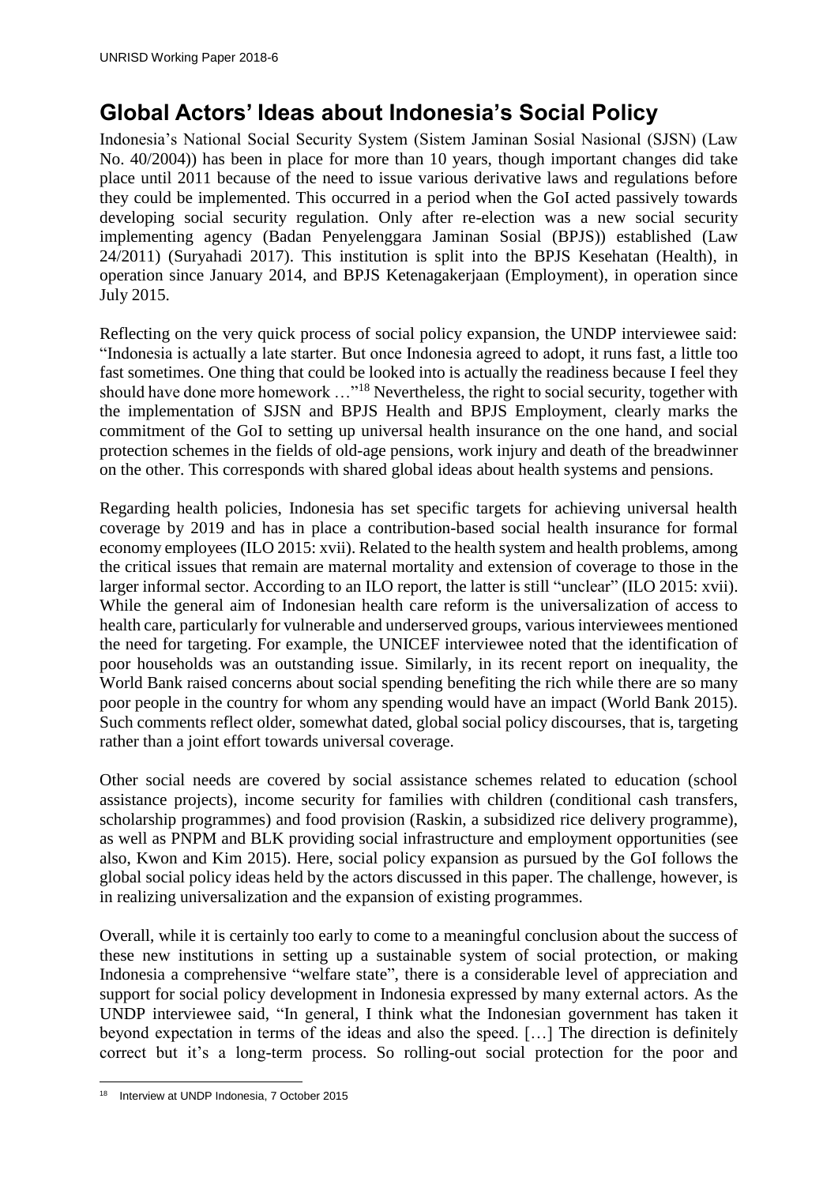# <span id="page-13-0"></span>**Global Actors' Ideas about Indonesia's Social Policy**

Indonesia's National Social Security System (Sistem Jaminan Sosial Nasional (SJSN) (Law No. 40/2004)) has been in place for more than 10 years, though important changes did take place until 2011 because of the need to issue various derivative laws and regulations before they could be implemented. This occurred in a period when the GoI acted passively towards developing social security regulation. Only after re-election was a new social security implementing agency (Badan Penyelenggara Jaminan Sosial (BPJS)) established (Law 24/2011) (Suryahadi 2017). This institution is split into the BPJS Kesehatan (Health), in operation since January 2014, and BPJS Ketenagakerjaan (Employment), in operation since July 2015.

Reflecting on the very quick process of social policy expansion, the UNDP interviewee said: "Indonesia is actually a late starter. But once Indonesia agreed to adopt, it runs fast, a little too fast sometimes. One thing that could be looked into is actually the readiness because I feel they should have done more homework …"<sup>18</sup> Nevertheless, the right to social security, together with the implementation of SJSN and BPJS Health and BPJS Employment, clearly marks the commitment of the GoI to setting up universal health insurance on the one hand, and social protection schemes in the fields of old-age pensions, work injury and death of the breadwinner on the other. This corresponds with shared global ideas about health systems and pensions.

Regarding health policies, Indonesia has set specific targets for achieving universal health coverage by 2019 and has in place a contribution-based social health insurance for formal economy employees (ILO 2015: xvii). Related to the health system and health problems, among the critical issues that remain are maternal mortality and extension of coverage to those in the larger informal sector. According to an ILO report, the latter is still "unclear" (ILO 2015: xvii). While the general aim of Indonesian health care reform is the universalization of access to health care, particularly for vulnerable and underserved groups, various interviewees mentioned the need for targeting. For example, the UNICEF interviewee noted that the identification of poor households was an outstanding issue. Similarly, in its recent report on inequality, the World Bank raised concerns about social spending benefiting the rich while there are so many poor people in the country for whom any spending would have an impact (World Bank 2015). Such comments reflect older, somewhat dated, global social policy discourses, that is, targeting rather than a joint effort towards universal coverage.

Other social needs are covered by social assistance schemes related to education (school assistance projects), income security for families with children (conditional cash transfers, scholarship programmes) and food provision (Raskin, a subsidized rice delivery programme), as well as PNPM and BLK providing social infrastructure and employment opportunities (see also, Kwon and Kim 2015). Here, social policy expansion as pursued by the GoI follows the global social policy ideas held by the actors discussed in this paper. The challenge, however, is in realizing universalization and the expansion of existing programmes.

Overall, while it is certainly too early to come to a meaningful conclusion about the success of these new institutions in setting up a sustainable system of social protection, or making Indonesia a comprehensive "welfare state", there is a considerable level of appreciation and support for social policy development in Indonesia expressed by many external actors. As the UNDP interviewee said, "In general, I think what the Indonesian government has taken it beyond expectation in terms of the ideas and also the speed. […] The direction is definitely correct but it's a long-term process. So rolling-out social protection for the poor and

<sup>&</sup>lt;u>.</u> <sup>18</sup> Interview at UNDP Indonesia, 7 October 2015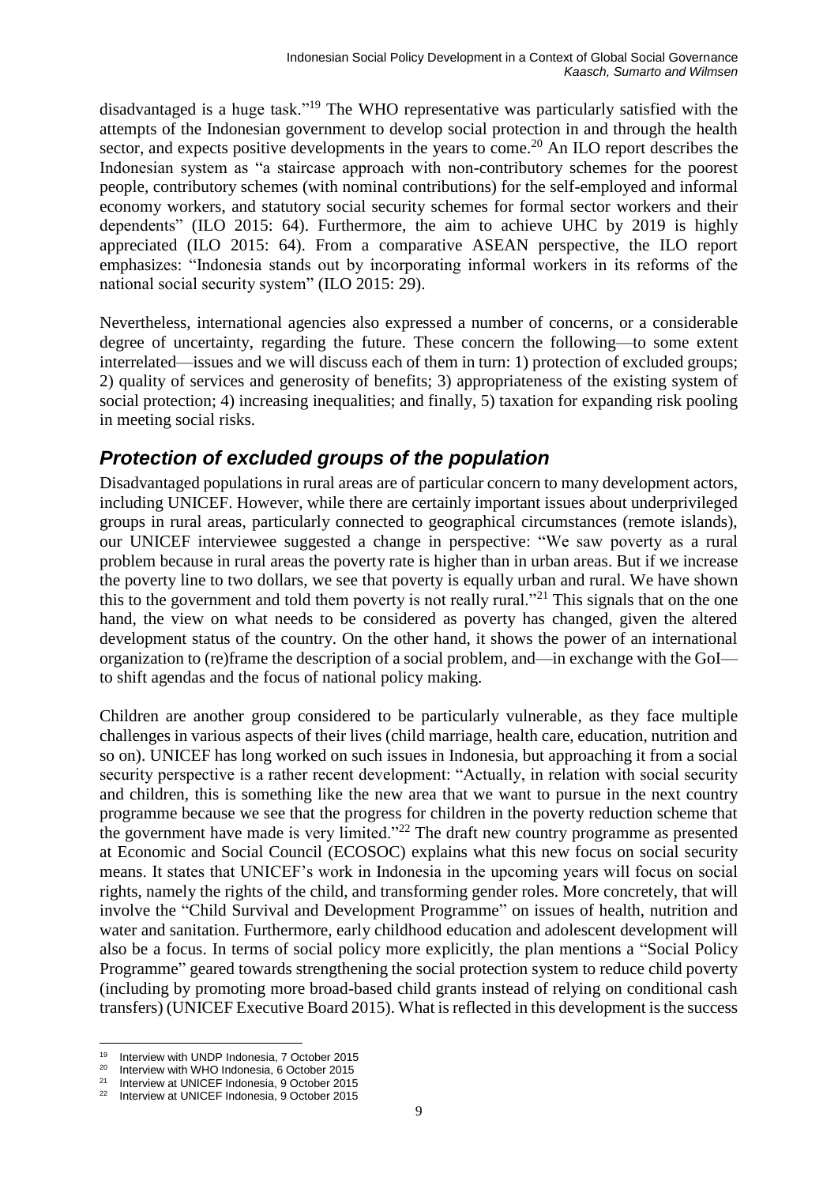disadvantaged is a huge task."<sup>19</sup> The WHO representative was particularly satisfied with the attempts of the Indonesian government to develop social protection in and through the health sector, and expects positive developments in the years to come.<sup>20</sup> An ILO report describes the Indonesian system as "a staircase approach with non-contributory schemes for the poorest people, contributory schemes (with nominal contributions) for the self-employed and informal economy workers, and statutory social security schemes for formal sector workers and their dependents" (ILO 2015: 64). Furthermore, the aim to achieve UHC by 2019 is highly appreciated (ILO 2015: 64). From a comparative ASEAN perspective, the ILO report emphasizes: "Indonesia stands out by incorporating informal workers in its reforms of the national social security system" (ILO 2015: 29).

Nevertheless, international agencies also expressed a number of concerns, or a considerable degree of uncertainty, regarding the future. These concern the following—to some extent interrelated—issues and we will discuss each of them in turn: 1) protection of excluded groups; 2) quality of services and generosity of benefits; 3) appropriateness of the existing system of social protection; 4) increasing inequalities; and finally, 5) taxation for expanding risk pooling in meeting social risks.

#### <span id="page-14-0"></span>*Protection of excluded groups of the population*

Disadvantaged populations in rural areas are of particular concern to many development actors, including UNICEF. However, while there are certainly important issues about underprivileged groups in rural areas, particularly connected to geographical circumstances (remote islands), our UNICEF interviewee suggested a change in perspective: "We saw poverty as a rural problem because in rural areas the poverty rate is higher than in urban areas. But if we increase the poverty line to two dollars, we see that poverty is equally urban and rural. We have shown this to the government and told them poverty is not really rural."<sup>21</sup> This signals that on the one hand, the view on what needs to be considered as poverty has changed, given the altered development status of the country. On the other hand, it shows the power of an international organization to (re)frame the description of a social problem, and—in exchange with the GoI to shift agendas and the focus of national policy making.

Children are another group considered to be particularly vulnerable, as they face multiple challenges in various aspects of their lives (child marriage, health care, education, nutrition and so on). UNICEF has long worked on such issues in Indonesia, but approaching it from a social security perspective is a rather recent development: "Actually, in relation with social security and children, this is something like the new area that we want to pursue in the next country programme because we see that the progress for children in the poverty reduction scheme that the government have made is very limited."<sup>22</sup> The draft new country programme as presented at Economic and Social Council (ECOSOC) explains what this new focus on social security means. It states that UNICEF's work in Indonesia in the upcoming years will focus on social rights, namely the rights of the child, and transforming gender roles. More concretely, that will involve the "Child Survival and Development Programme" on issues of health, nutrition and water and sanitation. Furthermore, early childhood education and adolescent development will also be a focus. In terms of social policy more explicitly, the plan mentions a "Social Policy Programme" geared towards strengthening the social protection system to reduce child poverty (including by promoting more broad-based child grants instead of relying on conditional cash transfers) (UNICEF Executive Board 2015). What is reflected in this development is the success

<sup>19</sup> <sup>19</sup> Interview with UNDP Indonesia, 7 October 2015

<sup>&</sup>lt;sup>20</sup> Interview with WHO Indonesia, 6 October 2015

<sup>&</sup>lt;sup>21</sup> Interview at UNICEF Indonesia, 9 October 2015<br><sup>22</sup> Interview at UNICEF Indonesia, 9 October 2015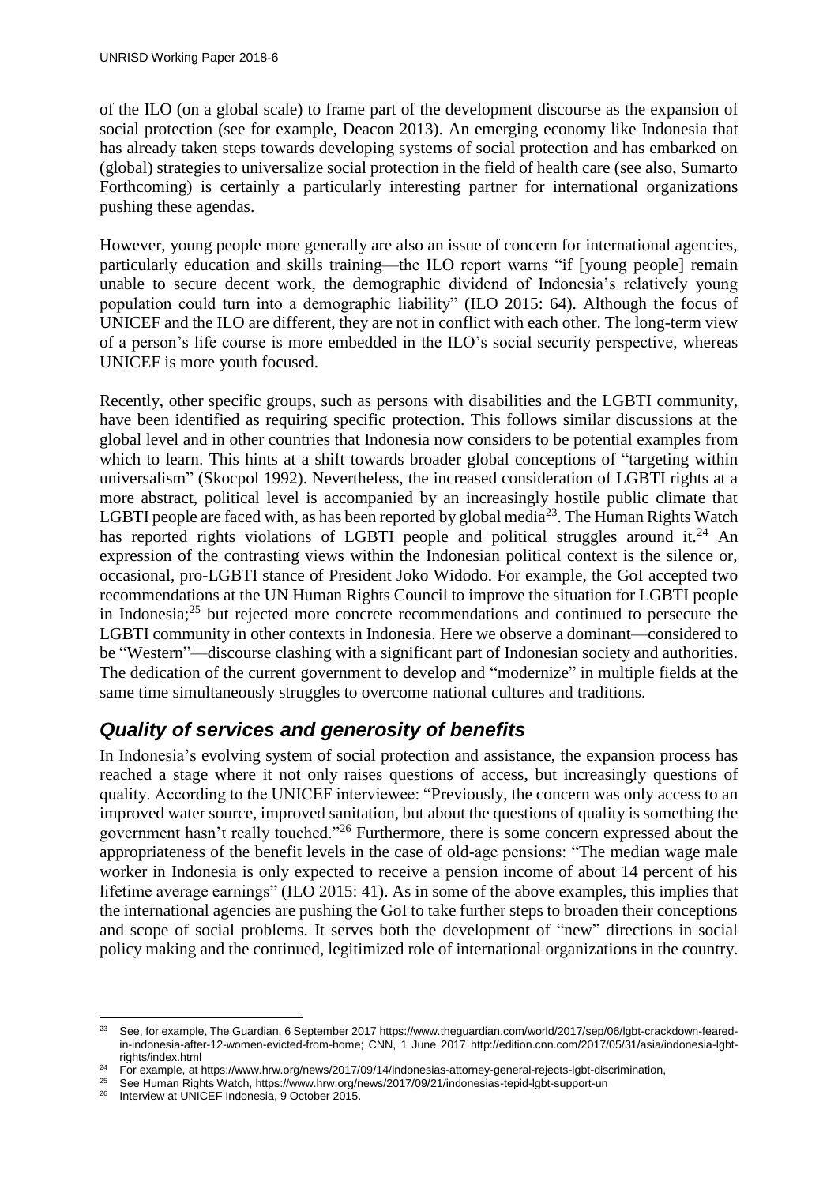of the ILO (on a global scale) to frame part of the development discourse as the expansion of social protection (see for example, Deacon 2013). An emerging economy like Indonesia that has already taken steps towards developing systems of social protection and has embarked on (global) strategies to universalize social protection in the field of health care (see also, Sumarto Forthcoming) is certainly a particularly interesting partner for international organizations pushing these agendas.

However, young people more generally are also an issue of concern for international agencies, particularly education and skills training—the ILO report warns "if [young people] remain unable to secure decent work, the demographic dividend of Indonesia's relatively young population could turn into a demographic liability" (ILO 2015: 64). Although the focus of UNICEF and the ILO are different, they are not in conflict with each other. The long-term view of a person's life course is more embedded in the ILO's social security perspective, whereas UNICEF is more youth focused.

Recently, other specific groups, such as persons with disabilities and the LGBTI community, have been identified as requiring specific protection. This follows similar discussions at the global level and in other countries that Indonesia now considers to be potential examples from which to learn. This hints at a shift towards broader global conceptions of "targeting within universalism" (Skocpol 1992). Nevertheless, the increased consideration of LGBTI rights at a more abstract, political level is accompanied by an increasingly hostile public climate that LGBTI people are faced with, as has been reported by global media $^{23}$ . The Human Rights Watch has reported rights violations of LGBTI people and political struggles around it.<sup>24</sup> An expression of the contrasting views within the Indonesian political context is the silence or, occasional, pro-LGBTI stance of President Joko Widodo. For example, the GoI accepted two recommendations at the UN Human Rights Council to improve the situation for LGBTI people in Indonesia;<sup>25</sup> but rejected more concrete recommendations and continued to persecute the LGBTI community in other contexts in Indonesia. Here we observe a dominant—considered to be "Western"—discourse clashing with a significant part of Indonesian society and authorities. The dedication of the current government to develop and "modernize" in multiple fields at the same time simultaneously struggles to overcome national cultures and traditions.

#### <span id="page-15-0"></span>*Quality of services and generosity of benefits*

In Indonesia's evolving system of social protection and assistance, the expansion process has reached a stage where it not only raises questions of access, but increasingly questions of quality. According to the UNICEF interviewee: "Previously, the concern was only access to an improved water source, improved sanitation, but about the questions of quality is something the government hasn't really touched."<sup>26</sup> Furthermore, there is some concern expressed about the appropriateness of the benefit levels in the case of old-age pensions: "The median wage male worker in Indonesia is only expected to receive a pension income of about 14 percent of his lifetime average earnings" (ILO 2015: 41). As in some of the above examples, this implies that the international agencies are pushing the GoI to take further steps to broaden their conceptions and scope of social problems. It serves both the development of "new" directions in social policy making and the continued, legitimized role of international organizations in the country.

Interview at UNICEF Indonesia, 9 October 2015.

 $23$ See, for example, The Guardian, 6 September 2017 https://www.theguardian.com/world/2017/sep/06/lgbt-crackdown-fearedin-indonesia-after-12-women-evicted-from-home; CNN, 1 June 2017 http://edition.cnn.com/2017/05/31/asia/indonesia-lgbtrights/index.html

<sup>&</sup>lt;sup>24</sup> For example, at https://www.hrw.org/news/2017/09/14/indonesias-attorney-general-rejects-lgbt-discrimination,

<sup>25</sup> See Human Rights Watch, https://www.hrw.org/news/2017/09/21/indonesias-tepid-lgbt-support-un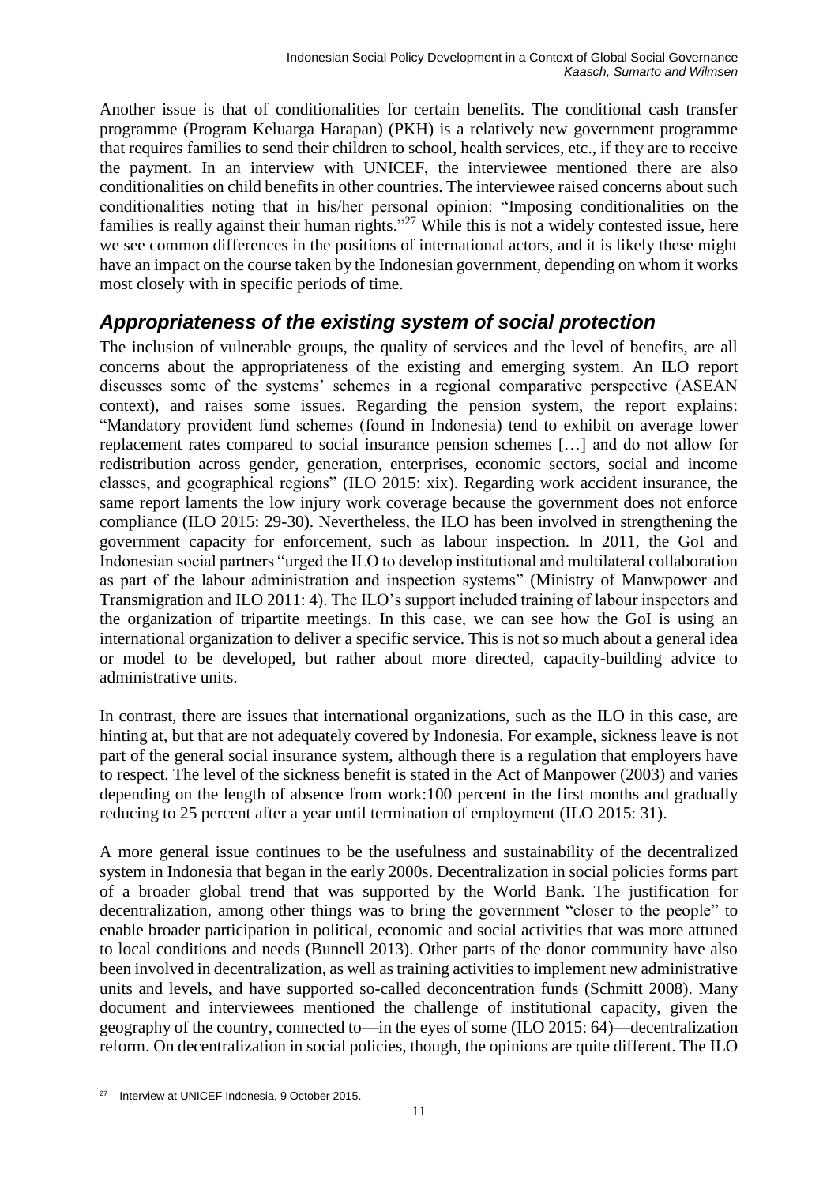Another issue is that of conditionalities for certain benefits. The conditional cash transfer programme (Program Keluarga Harapan) (PKH) is a relatively new government programme that requires families to send their children to school, health services, etc., if they are to receive the payment. In an interview with UNICEF, the interviewee mentioned there are also conditionalities on child benefits in other countries. The interviewee raised concerns about such conditionalities noting that in his/her personal opinion: "Imposing conditionalities on the families is really against their human rights."<sup>27</sup> While this is not a widely contested issue, here we see common differences in the positions of international actors, and it is likely these might have an impact on the course taken by the Indonesian government, depending on whom it works most closely with in specific periods of time.

#### <span id="page-16-0"></span>*Appropriateness of the existing system of social protection*

The inclusion of vulnerable groups, the quality of services and the level of benefits, are all concerns about the appropriateness of the existing and emerging system. An ILO report discusses some of the systems' schemes in a regional comparative perspective (ASEAN context), and raises some issues. Regarding the pension system, the report explains: "Mandatory provident fund schemes (found in Indonesia) tend to exhibit on average lower replacement rates compared to social insurance pension schemes […] and do not allow for redistribution across gender, generation, enterprises, economic sectors, social and income classes, and geographical regions" (ILO 2015: xix). Regarding work accident insurance, the same report laments the low injury work coverage because the government does not enforce compliance (ILO 2015: 29-30). Nevertheless, the ILO has been involved in strengthening the government capacity for enforcement, such as labour inspection. In 2011, the GoI and Indonesian social partners "urged the ILO to develop institutional and multilateral collaboration as part of the labour administration and inspection systems" (Ministry of Manwpower and Transmigration and ILO 2011: 4). The ILO's support included training of labour inspectors and the organization of tripartite meetings. In this case, we can see how the GoI is using an international organization to deliver a specific service. This is not so much about a general idea or model to be developed, but rather about more directed, capacity-building advice to administrative units.

In contrast, there are issues that international organizations, such as the ILO in this case, are hinting at, but that are not adequately covered by Indonesia. For example, sickness leave is not part of the general social insurance system, although there is a regulation that employers have to respect. The level of the sickness benefit is stated in the Act of Manpower (2003) and varies depending on the length of absence from work:100 percent in the first months and gradually reducing to 25 percent after a year until termination of employment (ILO 2015: 31).

A more general issue continues to be the usefulness and sustainability of the decentralized system in Indonesia that began in the early 2000s. Decentralization in social policies forms part of a broader global trend that was supported by the World Bank. The justification for decentralization, among other things was to bring the government "closer to the people" to enable broader participation in political, economic and social activities that was more attuned to local conditions and needs (Bunnell 2013). Other parts of the donor community have also been involved in decentralization, as well as training activities to implement new administrative units and levels, and have supported so-called deconcentration funds (Schmitt 2008). Many document and interviewees mentioned the challenge of institutional capacity, given the geography of the country, connected to—in the eyes of some (ILO 2015: 64)—decentralization reform. On decentralization in social policies, though, the opinions are quite different. The ILO

<sup>&</sup>lt;u>.</u> <sup>27</sup> Interview at UNICEF Indonesia, 9 October 2015.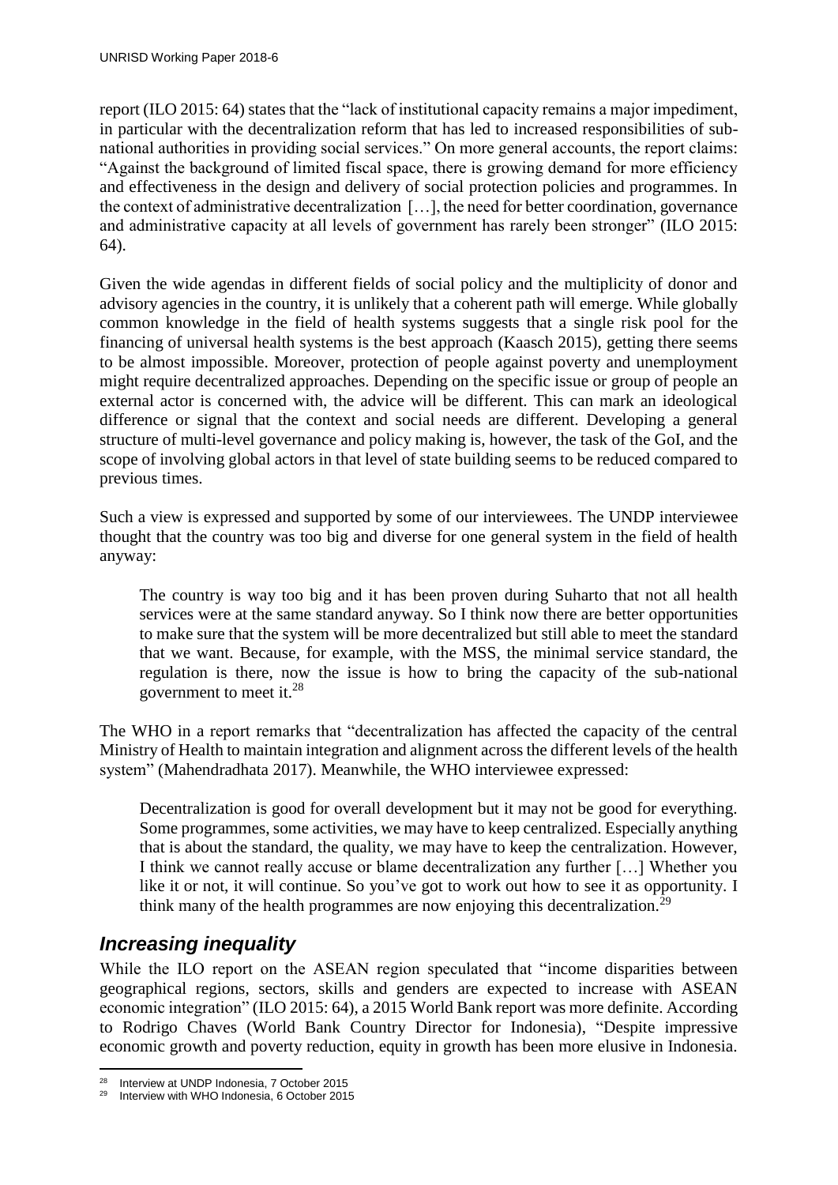report (ILO 2015: 64) states that the "lack of institutional capacity remains a major impediment, in particular with the decentralization reform that has led to increased responsibilities of subnational authorities in providing social services." On more general accounts, the report claims: "Against the background of limited fiscal space, there is growing demand for more efficiency and effectiveness in the design and delivery of social protection policies and programmes. In the context of administrative decentralization […], the need for better coordination, governance and administrative capacity at all levels of government has rarely been stronger" (ILO 2015: 64).

Given the wide agendas in different fields of social policy and the multiplicity of donor and advisory agencies in the country, it is unlikely that a coherent path will emerge. While globally common knowledge in the field of health systems suggests that a single risk pool for the financing of universal health systems is the best approach (Kaasch 2015), getting there seems to be almost impossible. Moreover, protection of people against poverty and unemployment might require decentralized approaches. Depending on the specific issue or group of people an external actor is concerned with, the advice will be different. This can mark an ideological difference or signal that the context and social needs are different. Developing a general structure of multi-level governance and policy making is, however, the task of the GoI, and the scope of involving global actors in that level of state building seems to be reduced compared to previous times.

Such a view is expressed and supported by some of our interviewees. The UNDP interviewee thought that the country was too big and diverse for one general system in the field of health anyway:

The country is way too big and it has been proven during Suharto that not all health services were at the same standard anyway. So I think now there are better opportunities to make sure that the system will be more decentralized but still able to meet the standard that we want. Because, for example, with the MSS, the minimal service standard, the regulation is there, now the issue is how to bring the capacity of the sub-national government to meet it.<sup>28</sup>

The WHO in a report remarks that "decentralization has affected the capacity of the central Ministry of Health to maintain integration and alignment across the different levels of the health system" (Mahendradhata 2017). Meanwhile, the WHO interviewee expressed:

Decentralization is good for overall development but it may not be good for everything. Some programmes, some activities, we may have to keep centralized. Especially anything that is about the standard, the quality, we may have to keep the centralization. However, I think we cannot really accuse or blame decentralization any further […] Whether you like it or not, it will continue. So you've got to work out how to see it as opportunity. I think many of the health programmes are now enjoying this decentralization.<sup>29</sup>

#### <span id="page-17-0"></span>*Increasing inequality*

While the ILO report on the ASEAN region speculated that "income disparities between geographical regions, sectors, skills and genders are expected to increase with ASEAN economic integration" (ILO 2015: 64), a 2015 World Bank report was more definite. According to Rodrigo Chaves (World Bank Country Director for Indonesia), "Despite impressive economic growth and poverty reduction, equity in growth has been more elusive in Indonesia.

<sup>1</sup> <sup>28</sup> Interview at UNDP Indonesia, 7 October 2015

Interview with WHO Indonesia, 6 October 2015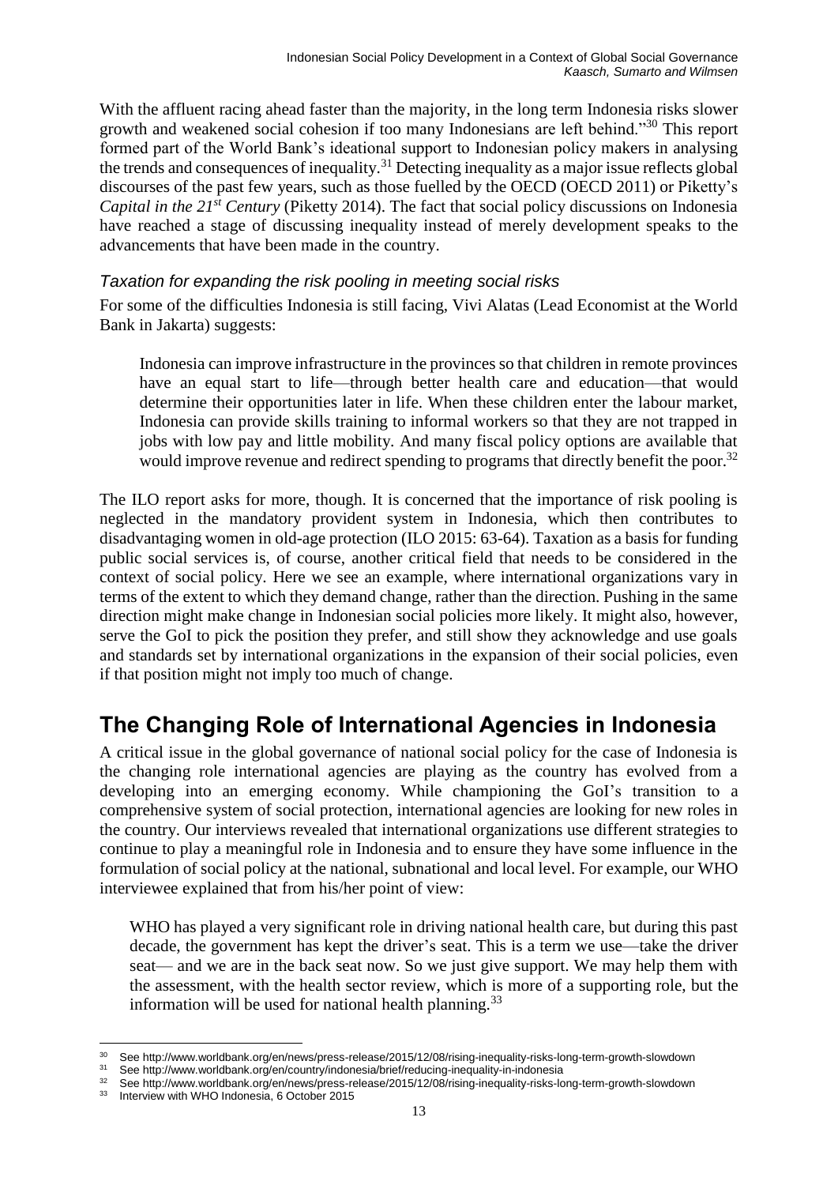With the affluent racing ahead faster than the majority, in the long term Indonesia risks slower growth and weakened social cohesion if too many Indonesians are left behind."<sup>30</sup> This report formed part of the World Bank's ideational support to Indonesian policy makers in analysing the trends and consequences of inequality.<sup>31</sup> Detecting inequality as a major issue reflects global discourses of the past few years, such as those fuelled by the OECD (OECD 2011) or Piketty's *Capital in the 21st Century* (Piketty 2014). The fact that social policy discussions on Indonesia have reached a stage of discussing inequality instead of merely development speaks to the advancements that have been made in the country.

#### <span id="page-18-0"></span>*Taxation for expanding the risk pooling in meeting social risks*

For some of the difficulties Indonesia is still facing, Vivi Alatas (Lead Economist at the World Bank in Jakarta) suggests:

Indonesia can improve infrastructure in the provinces so that children in remote provinces have an equal start to life—through better health care and education—that would determine their opportunities later in life. When these children enter the labour market, Indonesia can provide skills training to informal workers so that they are not trapped in jobs with low pay and little mobility. And many fiscal policy options are available that would improve revenue and redirect spending to programs that directly benefit the poor.<sup>32</sup>

The ILO report asks for more, though. It is concerned that the importance of risk pooling is neglected in the mandatory provident system in Indonesia, which then contributes to disadvantaging women in old-age protection (ILO 2015: 63-64). Taxation as a basis for funding public social services is, of course, another critical field that needs to be considered in the context of social policy. Here we see an example, where international organizations vary in terms of the extent to which they demand change, rather than the direction. Pushing in the same direction might make change in Indonesian social policies more likely. It might also, however, serve the GoI to pick the position they prefer, and still show they acknowledge and use goals and standards set by international organizations in the expansion of their social policies, even if that position might not imply too much of change.

### <span id="page-18-1"></span>**The Changing Role of International Agencies in Indonesia**

A critical issue in the global governance of national social policy for the case of Indonesia is the changing role international agencies are playing as the country has evolved from a developing into an emerging economy. While championing the GoI's transition to a comprehensive system of social protection, international agencies are looking for new roles in the country. Our interviews revealed that international organizations use different strategies to continue to play a meaningful role in Indonesia and to ensure they have some influence in the formulation of social policy at the national, subnational and local level. For example, our WHO interviewee explained that from his/her point of view:

WHO has played a very significant role in driving national health care, but during this past decade, the government has kept the driver's seat. This is a term we use—take the driver seat— and we are in the back seat now. So we just give support. We may help them with the assessment, with the health sector review, which is more of a supporting role, but the information will be used for national health planning.<sup>33</sup>

<sup>1</sup> <sup>30</sup> See http://www.worldbank.org/en/news/press-release/2015/12/08/rising-inequality-risks-long-term-growth-slowdown

<sup>&</sup>lt;sup>31</sup> See http://www.worldbank.org/en/country/indonesia/brief/reducing-inequality-in-indonesia<br><sup>32</sup> See http://www.worldbank.org/en/country/indonesia/brief/reducing-inequality-in-indonesia

<sup>&</sup>lt;sup>32</sup> See http://www.worldbank.org/en/news/press-release/2015/12/08/rising-inequality-risks-long-term-growth-slowdown<br><sup>33</sup> Intensiew with WHO Indonesia 6 October 2015

Interview with WHO Indonesia, 6 October 2015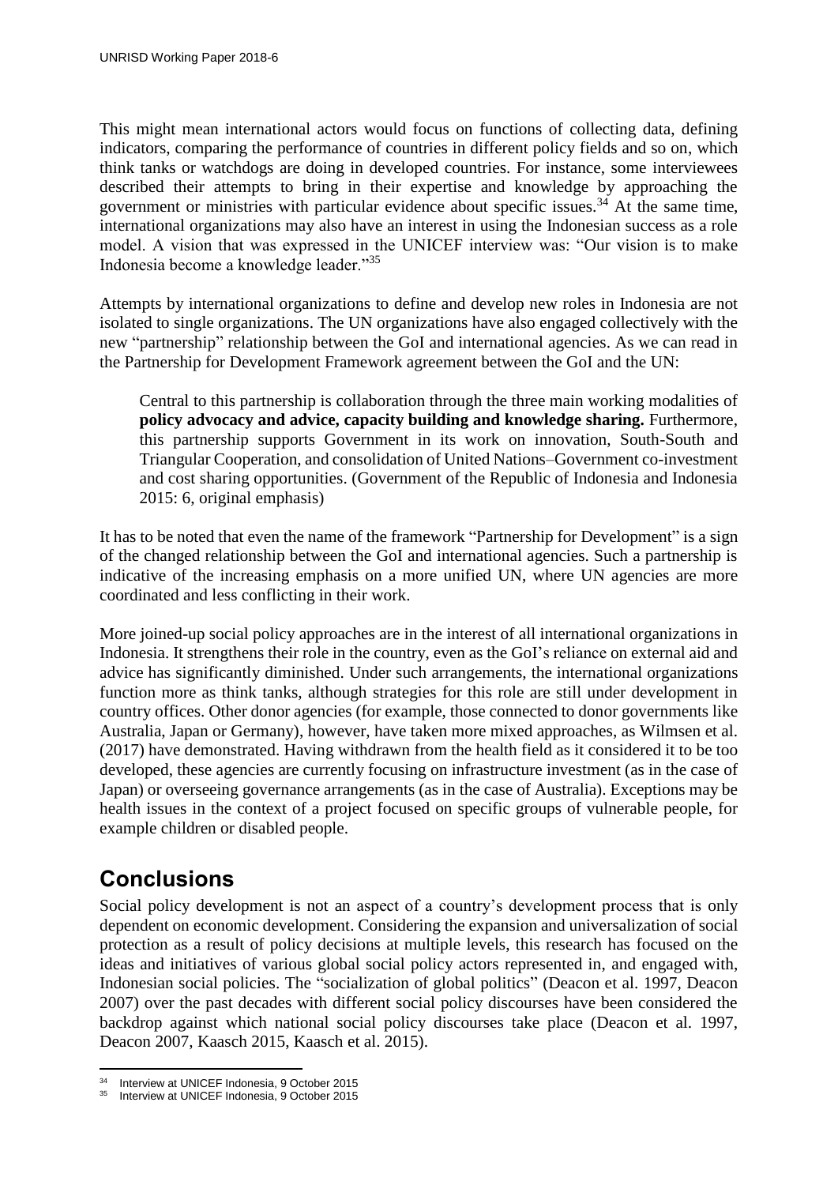This might mean international actors would focus on functions of collecting data, defining indicators, comparing the performance of countries in different policy fields and so on, which think tanks or watchdogs are doing in developed countries. For instance, some interviewees described their attempts to bring in their expertise and knowledge by approaching the government or ministries with particular evidence about specific issues.<sup>34</sup> At the same time, international organizations may also have an interest in using the Indonesian success as a role model. A vision that was expressed in the UNICEF interview was: "Our vision is to make Indonesia become a knowledge leader."<sup>35</sup>

Attempts by international organizations to define and develop new roles in Indonesia are not isolated to single organizations. The UN organizations have also engaged collectively with the new "partnership" relationship between the GoI and international agencies. As we can read in the Partnership for Development Framework agreement between the GoI and the UN:

Central to this partnership is collaboration through the three main working modalities of **policy advocacy and advice, capacity building and knowledge sharing.** Furthermore, this partnership supports Government in its work on innovation, South-South and Triangular Cooperation, and consolidation of United Nations–Government co-investment and cost sharing opportunities. (Government of the Republic of Indonesia and Indonesia 2015: 6, original emphasis)

It has to be noted that even the name of the framework "Partnership for Development" is a sign of the changed relationship between the GoI and international agencies. Such a partnership is indicative of the increasing emphasis on a more unified UN, where UN agencies are more coordinated and less conflicting in their work.

More joined-up social policy approaches are in the interest of all international organizations in Indonesia. It strengthens their role in the country, even as the GoI's reliance on external aid and advice has significantly diminished. Under such arrangements, the international organizations function more as think tanks, although strategies for this role are still under development in country offices. Other donor agencies (for example, those connected to donor governments like Australia, Japan or Germany), however, have taken more mixed approaches, as Wilmsen et al. (2017) have demonstrated. Having withdrawn from the health field as it considered it to be too developed, these agencies are currently focusing on infrastructure investment (as in the case of Japan) or overseeing governance arrangements (as in the case of Australia). Exceptions may be health issues in the context of a project focused on specific groups of vulnerable people, for example children or disabled people.

# <span id="page-19-0"></span>**Conclusions**

Social policy development is not an aspect of a country's development process that is only dependent on economic development. Considering the expansion and universalization of social protection as a result of policy decisions at multiple levels, this research has focused on the ideas and initiatives of various global social policy actors represented in, and engaged with, Indonesian social policies. The "socialization of global politics" (Deacon et al. 1997, Deacon 2007) over the past decades with different social policy discourses have been considered the backdrop against which national social policy discourses take place (Deacon et al. 1997, Deacon 2007, Kaasch 2015, Kaasch et al. 2015).

<sup>1</sup> <sup>34</sup> Interview at UNICEF Indonesia, 9 October 2015

Interview at UNICEF Indonesia, 9 October 2015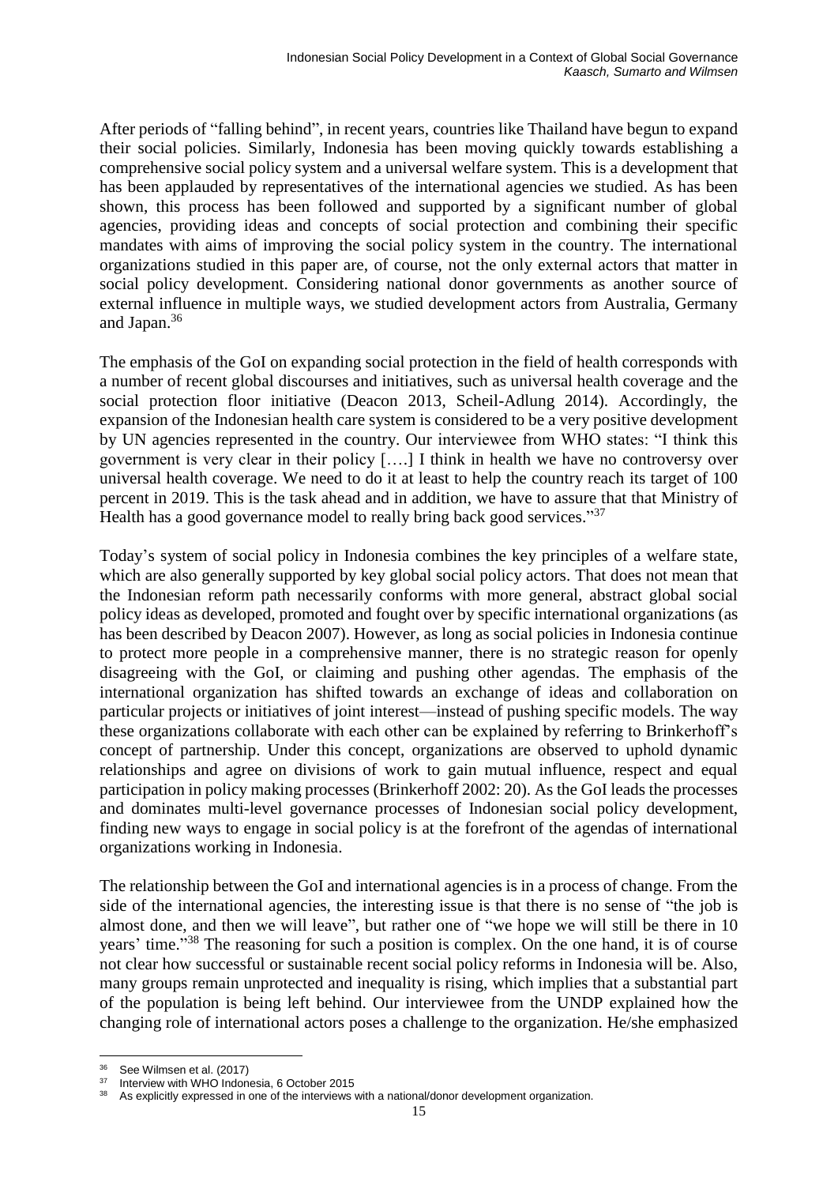After periods of "falling behind", in recent years, countries like Thailand have begun to expand their social policies. Similarly, Indonesia has been moving quickly towards establishing a comprehensive social policy system and a universal welfare system. This is a development that has been applauded by representatives of the international agencies we studied. As has been shown, this process has been followed and supported by a significant number of global agencies, providing ideas and concepts of social protection and combining their specific mandates with aims of improving the social policy system in the country. The international organizations studied in this paper are, of course, not the only external actors that matter in social policy development. Considering national donor governments as another source of external influence in multiple ways, we studied development actors from Australia, Germany and Japan. 36

The emphasis of the GoI on expanding social protection in the field of health corresponds with a number of recent global discourses and initiatives, such as universal health coverage and the social protection floor initiative (Deacon 2013, Scheil-Adlung 2014). Accordingly, the expansion of the Indonesian health care system is considered to be a very positive development by UN agencies represented in the country. Our interviewee from WHO states: "I think this government is very clear in their policy [….] I think in health we have no controversy over universal health coverage. We need to do it at least to help the country reach its target of 100 percent in 2019. This is the task ahead and in addition, we have to assure that that Ministry of Health has a good governance model to really bring back good services."<sup>37</sup>

Today's system of social policy in Indonesia combines the key principles of a welfare state, which are also generally supported by key global social policy actors. That does not mean that the Indonesian reform path necessarily conforms with more general, abstract global social policy ideas as developed, promoted and fought over by specific international organizations (as has been described by Deacon 2007). However, as long as social policies in Indonesia continue to protect more people in a comprehensive manner, there is no strategic reason for openly disagreeing with the GoI, or claiming and pushing other agendas. The emphasis of the international organization has shifted towards an exchange of ideas and collaboration on particular projects or initiatives of joint interest—instead of pushing specific models. The way these organizations collaborate with each other can be explained by referring to Brinkerhoff's concept of partnership. Under this concept, organizations are observed to uphold dynamic relationships and agree on divisions of work to gain mutual influence, respect and equal participation in policy making processes (Brinkerhoff 2002: 20). As the GoI leads the processes and dominates multi-level governance processes of Indonesian social policy development, finding new ways to engage in social policy is at the forefront of the agendas of international organizations working in Indonesia.

The relationship between the GoI and international agencies is in a process of change. From the side of the international agencies, the interesting issue is that there is no sense of "the job is almost done, and then we will leave", but rather one of "we hope we will still be there in 10 years' time."<sup>38</sup> The reasoning for such a position is complex. On the one hand, it is of course not clear how successful or sustainable recent social policy reforms in Indonesia will be. Also, many groups remain unprotected and inequality is rising, which implies that a substantial part of the population is being left behind. Our interviewee from the UNDP explained how the changing role of international actors poses a challenge to the organization. He/she emphasized

<sup>1</sup>  $36$  See Wilmsen et al. (2017)

Interview with WHO Indonesia, 6 October 2015

As explicitly expressed in one of the interviews with a national/donor development organization.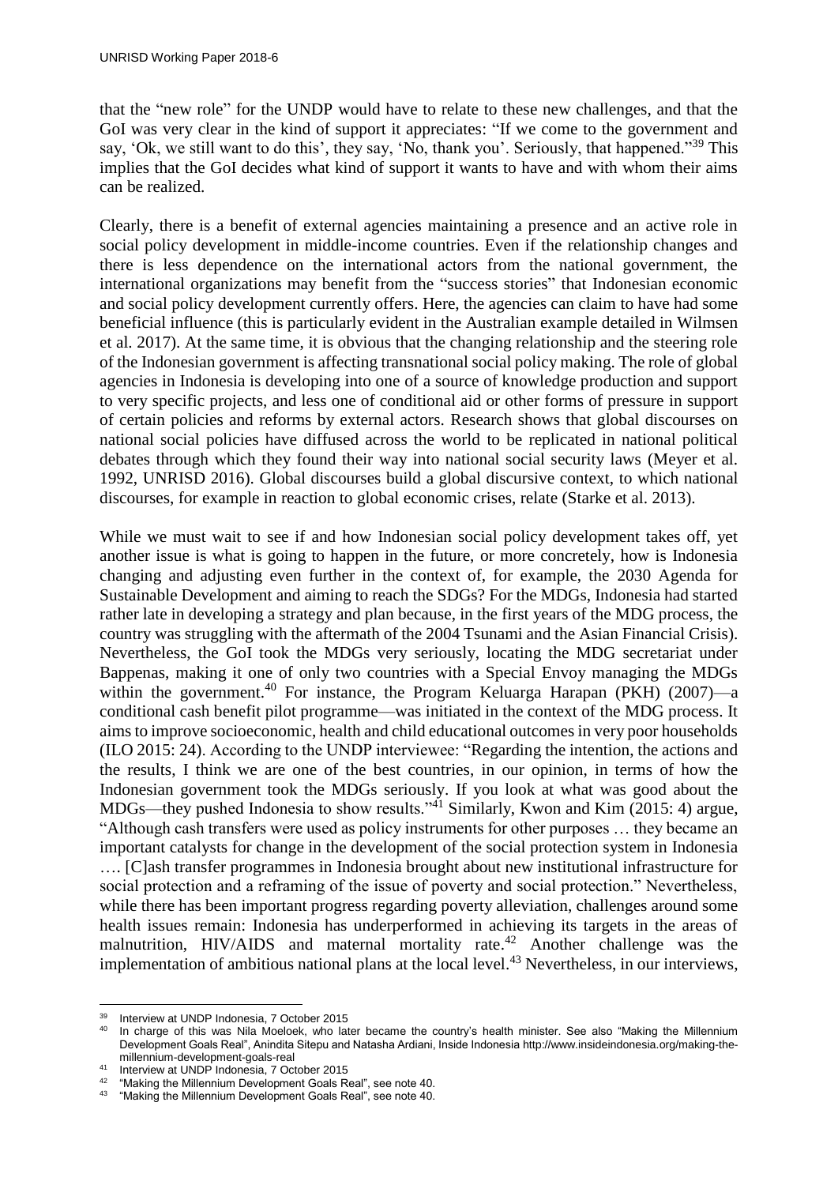that the "new role" for the UNDP would have to relate to these new challenges, and that the GoI was very clear in the kind of support it appreciates: "If we come to the government and say, 'Ok, we still want to do this', they say, 'No, thank you'. Seriously, that happened."<sup>39</sup> This implies that the GoI decides what kind of support it wants to have and with whom their aims can be realized.

Clearly, there is a benefit of external agencies maintaining a presence and an active role in social policy development in middle-income countries. Even if the relationship changes and there is less dependence on the international actors from the national government, the international organizations may benefit from the "success stories" that Indonesian economic and social policy development currently offers. Here, the agencies can claim to have had some beneficial influence (this is particularly evident in the Australian example detailed in Wilmsen et al. 2017). At the same time, it is obvious that the changing relationship and the steering role of the Indonesian government is affecting transnational social policy making. The role of global agencies in Indonesia is developing into one of a source of knowledge production and support to very specific projects, and less one of conditional aid or other forms of pressure in support of certain policies and reforms by external actors. Research shows that global discourses on national social policies have diffused across the world to be replicated in national political debates through which they found their way into national social security laws (Meyer et al. 1992, UNRISD 2016). Global discourses build a global discursive context, to which national discourses, for example in reaction to global economic crises, relate (Starke et al. 2013).

While we must wait to see if and how Indonesian social policy development takes off, yet another issue is what is going to happen in the future, or more concretely, how is Indonesia changing and adjusting even further in the context of, for example, the 2030 Agenda for Sustainable Development and aiming to reach the SDGs? For the MDGs, Indonesia had started rather late in developing a strategy and plan because, in the first years of the MDG process, the country was struggling with the aftermath of the 2004 Tsunami and the Asian Financial Crisis). Nevertheless, the GoI took the MDGs very seriously, locating the MDG secretariat under Bappenas, making it one of only two countries with a Special Envoy managing the MDGs within the government.<sup>40</sup> For instance, the Program Keluarga Harapan (PKH) (2007)—a conditional cash benefit pilot programme—was initiated in the context of the MDG process. It aimsto improve socioeconomic, health and child educational outcomes in very poor households (ILO 2015: 24). According to the UNDP interviewee: "Regarding the intention, the actions and the results, I think we are one of the best countries, in our opinion, in terms of how the Indonesian government took the MDGs seriously. If you look at what was good about the MDGs—they pushed Indonesia to show results."<sup>41</sup> Similarly, Kwon and Kim (2015: 4) argue, "Although cash transfers were used as policy instruments for other purposes … they became an important catalysts for change in the development of the social protection system in Indonesia …. [C]ash transfer programmes in Indonesia brought about new institutional infrastructure for social protection and a reframing of the issue of poverty and social protection." Nevertheless, while there has been important progress regarding poverty alleviation, challenges around some health issues remain: Indonesia has underperformed in achieving its targets in the areas of malnutrition, HIV/AIDS and maternal mortality rate.<sup>42</sup> Another challenge was the implementation of ambitious national plans at the local level. <sup>43</sup> Nevertheless, in our interviews,

<sup>&</sup>lt;u>.</u>  $39$  Interview at UNDP Indonesia, 7 October 2015

In charge of this was Nila Moeloek, who later became the country's health minister. See also "Making the Millennium Development Goals Real", Anindita Sitepu and Natasha Ardiani, Inside Indonesia http://www.insideindonesia.org/making-themillennium-development-goals-real

<sup>&</sup>lt;sup>41</sup> Interview at UNDP Indonesia, 7 October 2015

<sup>&</sup>lt;sup>42</sup> "Making the Millennium Development Goals Real", see note 40.<br><sup>43</sup> "Making the Millennium Development Goals Real", see note 40.

<sup>&</sup>quot;Making the Millennium Development Goals Real", see note 40.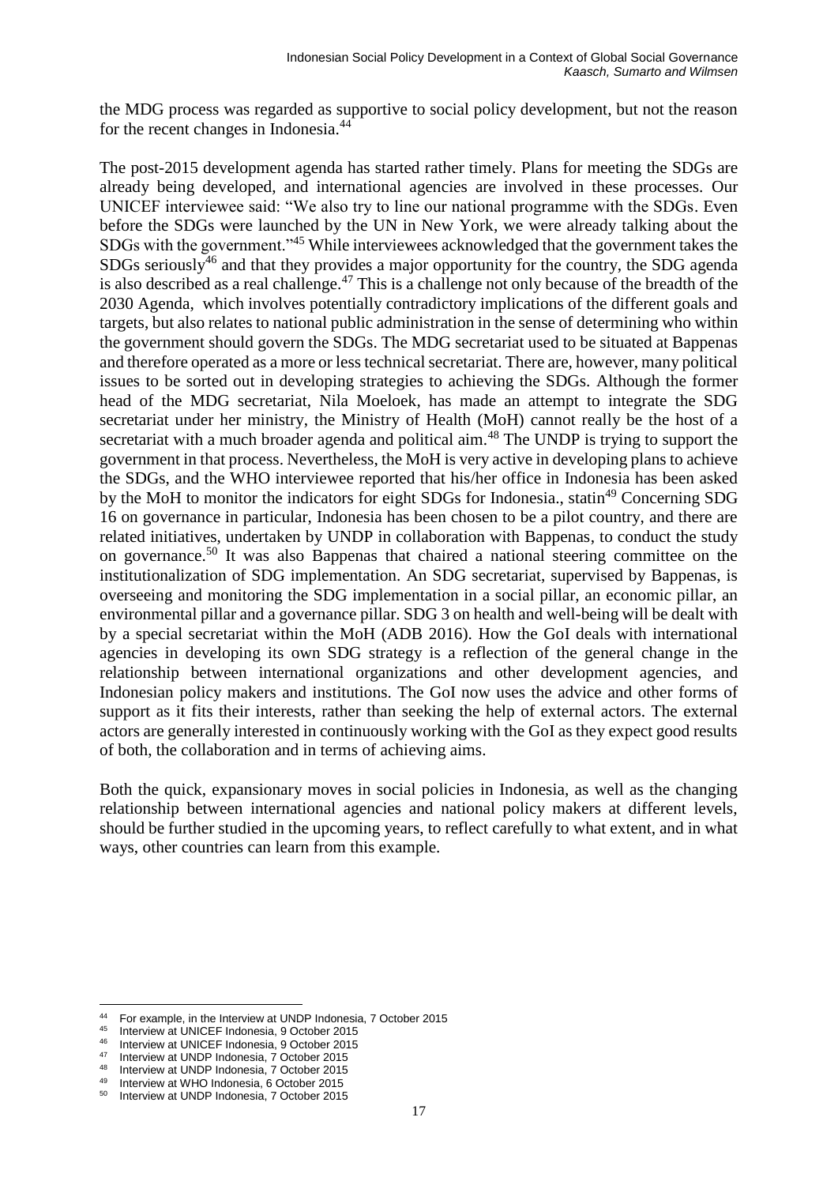the MDG process was regarded as supportive to social policy development, but not the reason for the recent changes in Indonesia.<sup>44</sup>

The post-2015 development agenda has started rather timely. Plans for meeting the SDGs are already being developed, and international agencies are involved in these processes. Our UNICEF interviewee said: "We also try to line our national programme with the SDGs. Even before the SDGs were launched by the UN in New York, we were already talking about the SDGs with the government."<sup>45</sup> While interviewees acknowledged that the government takes the SDGs seriously<sup>46</sup> and that they provides a major opportunity for the country, the SDG agenda is also described as a real challenge.<sup>47</sup> This is a challenge not only because of the breadth of the 2030 Agenda, which involves potentially contradictory implications of the different goals and targets, but also relates to national public administration in the sense of determining who within the government should govern the SDGs. The MDG secretariat used to be situated at Bappenas and therefore operated as a more or less technical secretariat. There are, however, many political issues to be sorted out in developing strategies to achieving the SDGs. Although the former head of the MDG secretariat, Nila Moeloek, has made an attempt to integrate the SDG secretariat under her ministry, the Ministry of Health (MoH) cannot really be the host of a secretariat with a much broader agenda and political aim.<sup>48</sup> The UNDP is trying to support the government in that process. Nevertheless, the MoH is very active in developing plans to achieve the SDGs, and the WHO interviewee reported that his/her office in Indonesia has been asked by the MoH to monitor the indicators for eight SDGs for Indonesia., statin<sup>49</sup> Concerning SDG 16 on governance in particular, Indonesia has been chosen to be a pilot country, and there are related initiatives, undertaken by UNDP in collaboration with Bappenas, to conduct the study on governance.<sup>50</sup> It was also Bappenas that chaired a national steering committee on the institutionalization of SDG implementation. An SDG secretariat, supervised by Bappenas, is overseeing and monitoring the SDG implementation in a social pillar, an economic pillar, an environmental pillar and a governance pillar. SDG 3 on health and well-being will be dealt with by a special secretariat within the MoH (ADB 2016). How the GoI deals with international agencies in developing its own SDG strategy is a reflection of the general change in the relationship between international organizations and other development agencies, and Indonesian policy makers and institutions. The GoI now uses the advice and other forms of support as it fits their interests, rather than seeking the help of external actors. The external actors are generally interested in continuously working with the GoI as they expect good results of both, the collaboration and in terms of achieving aims.

Both the quick, expansionary moves in social policies in Indonesia, as well as the changing relationship between international agencies and national policy makers at different levels, should be further studied in the upcoming years, to reflect carefully to what extent, and in what ways, other countries can learn from this example.

<u>.</u>

<sup>&</sup>lt;sup>44</sup> For example, in the Interview at UNDP Indonesia, 7 October 2015

<sup>&</sup>lt;sup>45</sup> Interview at UNICEF Indonesia, 9 October 2015

Interview at UNICEF Indonesia, 9 October 2015

<sup>&</sup>lt;sup>47</sup> Interview at UNDP Indonesia, 7 October 2015

<sup>48</sup> Interview at UNDP Indonesia, 7 October 2015

Interview at WHO Indonesia, 6 October 2015

Interview at UNDP Indonesia, 7 October 2015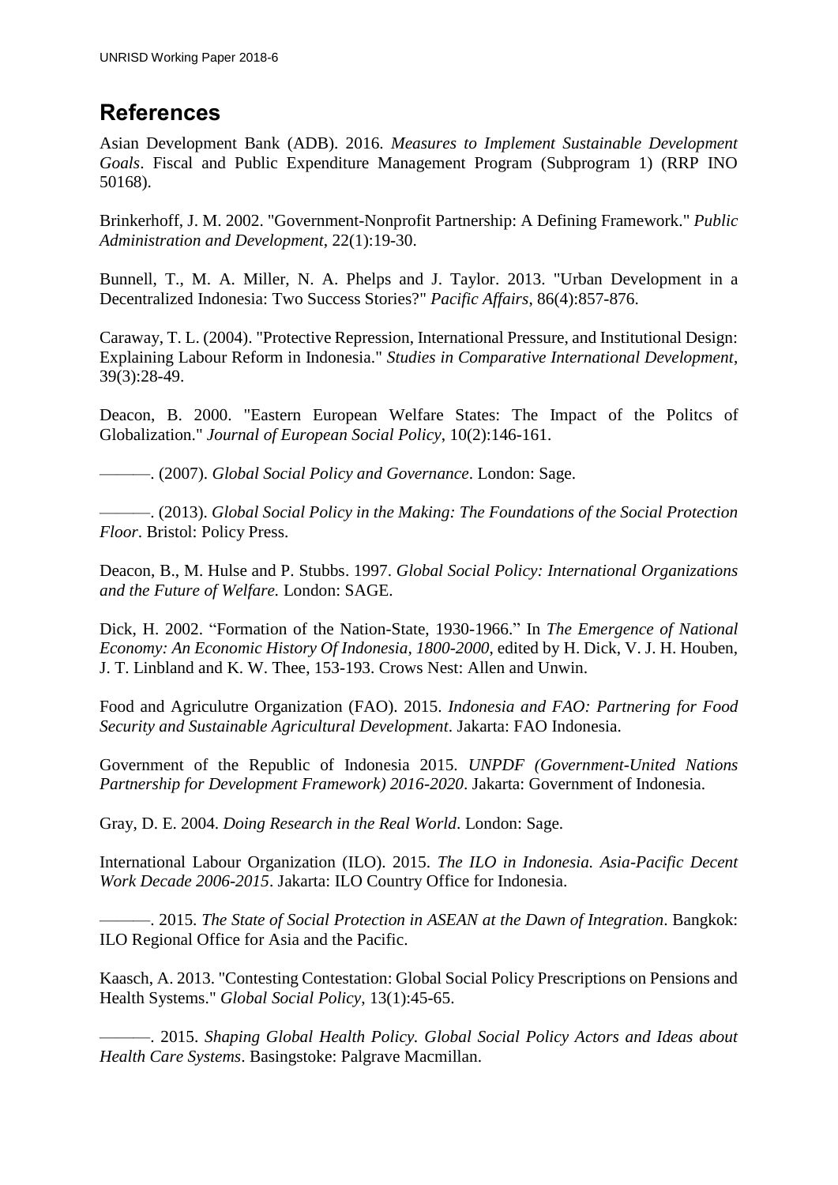## <span id="page-23-0"></span>**References**

Asian Development Bank (ADB). 2016. *Measures to Implement Sustainable Development Goals*. Fiscal and Public Expenditure Management Program (Subprogram 1) (RRP INO 50168).

Brinkerhoff, J. M. 2002. "Government-Nonprofit Partnership: A Defining Framework." *Public Administration and Development*, 22(1):19-30.

Bunnell, T., M. A. Miller, N. A. Phelps and J. Taylor. 2013. "Urban Development in a Decentralized Indonesia: Two Success Stories?" *Pacific Affairs*, 86(4):857-876.

Caraway, T. L. (2004). "Protective Repression, International Pressure, and Institutional Design: Explaining Labour Reform in Indonesia." *Studies in Comparative International Development*, 39(3):28-49.

Deacon, B. 2000. "Eastern European Welfare States: The Impact of the Politcs of Globalization." *Journal of European Social Policy*, 10(2):146-161.

———. (2007). *Global Social Policy and Governance*. London: Sage.

———. (2013). *Global Social Policy in the Making: The Foundations of the Social Protection Floor*. Bristol: Policy Press.

Deacon, B., M. Hulse and P. Stubbs. 1997. *Global Social Policy: International Organizations and the Future of Welfare.* London: SAGE.

Dick, H. 2002. "Formation of the Nation-State, 1930-1966." In *The Emergence of National Economy: An Economic History Of Indonesia, 1800-2000*, edited by H. Dick, V. J. H. Houben, J. T. Linbland and K. W. Thee, 153-193. Crows Nest: Allen and Unwin.

Food and Agriculutre Organization (FAO). 2015. *Indonesia and FAO: Partnering for Food Security and Sustainable Agricultural Development*. Jakarta: FAO Indonesia.

Government of the Republic of Indonesia 2015. *UNPDF (Government-United Nations Partnership for Development Framework) 2016-2020*. Jakarta: Government of Indonesia.

Gray, D. E. 2004. *Doing Research in the Real World*. London: Sage.

International Labour Organization (ILO). 2015. *The ILO in Indonesia. Asia-Pacific Decent Work Decade 2006-2015*. Jakarta: ILO Country Office for Indonesia.

———. 2015. *The State of Social Protection in ASEAN at the Dawn of Integration*. Bangkok: ILO Regional Office for Asia and the Pacific.

Kaasch, A. 2013. "Contesting Contestation: Global Social Policy Prescriptions on Pensions and Health Systems." *Global Social Policy*, 13(1):45-65.

———. 2015. *Shaping Global Health Policy. Global Social Policy Actors and Ideas about Health Care Systems*. Basingstoke: Palgrave Macmillan.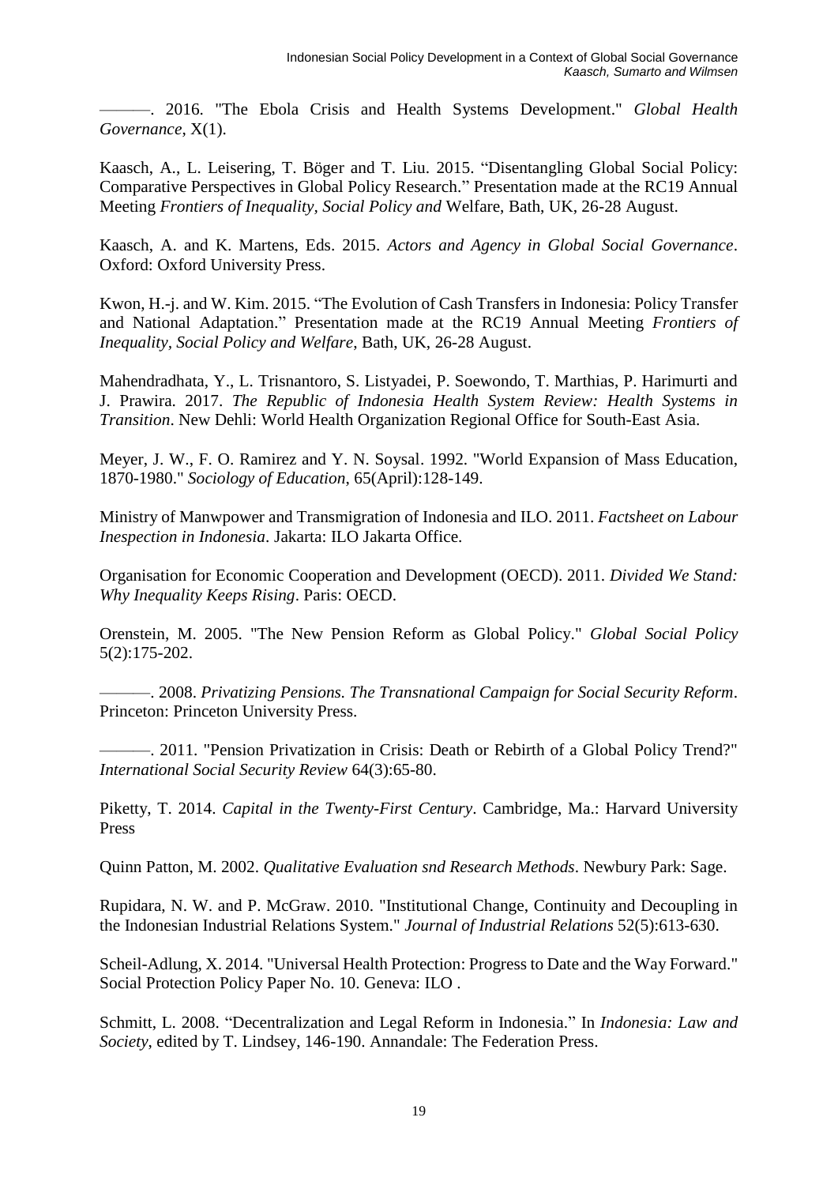———. 2016. "The Ebola Crisis and Health Systems Development." *Global Health Governance*, X(1).

Kaasch, A., L. Leisering, T. Böger and T. Liu. 2015. "Disentangling Global Social Policy: Comparative Perspectives in Global Policy Research." Presentation made at the RC19 Annual Meeting *Frontiers of Inequality, Social Policy and* Welfare, Bath, UK, 26-28 August.

Kaasch, A. and K. Martens, Eds. 2015. *Actors and Agency in Global Social Governance*. Oxford: Oxford University Press.

Kwon, H.-j. and W. Kim. 2015. "The Evolution of Cash Transfers in Indonesia: Policy Transfer and National Adaptation." Presentation made at the RC19 Annual Meeting *Frontiers of Inequality, Social Policy and Welfare*, Bath, UK, 26-28 August.

Mahendradhata, Y., L. Trisnantoro, S. Listyadei, P. Soewondo, T. Marthias, P. Harimurti and J. Prawira. 2017. *The Republic of Indonesia Health System Review: Health Systems in Transition*. New Dehli: World Health Organization Regional Office for South-East Asia.

Meyer, J. W., F. O. Ramirez and Y. N. Soysal. 1992. "World Expansion of Mass Education, 1870-1980." *Sociology of Education*, 65(April):128-149.

Ministry of Manwpower and Transmigration of Indonesia and ILO. 2011. *Factsheet on Labour Inespection in Indonesia*. Jakarta: ILO Jakarta Office.

Organisation for Economic Cooperation and Development (OECD). 2011. *Divided We Stand: Why Inequality Keeps Rising*. Paris: OECD.

Orenstein, M. 2005. "The New Pension Reform as Global Policy." *Global Social Policy* 5(2):175-202.

———. 2008. *Privatizing Pensions. The Transnational Campaign for Social Security Reform*. Princeton: Princeton University Press.

———. 2011. "Pension Privatization in Crisis: Death or Rebirth of a Global Policy Trend?" *International Social Security Review* 64(3):65-80.

Piketty, T. 2014. *Capital in the Twenty-First Century*. Cambridge, Ma.: Harvard University Press

Quinn Patton, M. 2002. *Qualitative Evaluation snd Research Methods*. Newbury Park: Sage.

Rupidara, N. W. and P. McGraw. 2010. "Institutional Change, Continuity and Decoupling in the Indonesian Industrial Relations System." *Journal of Industrial Relations* 52(5):613-630.

Scheil-Adlung, X. 2014. "Universal Health Protection: Progress to Date and the Way Forward." Social Protection Policy Paper No. 10. Geneva: ILO .

Schmitt, L. 2008. "Decentralization and Legal Reform in Indonesia." In *Indonesia: Law and Society*, edited by T. Lindsey, 146-190. Annandale: The Federation Press.